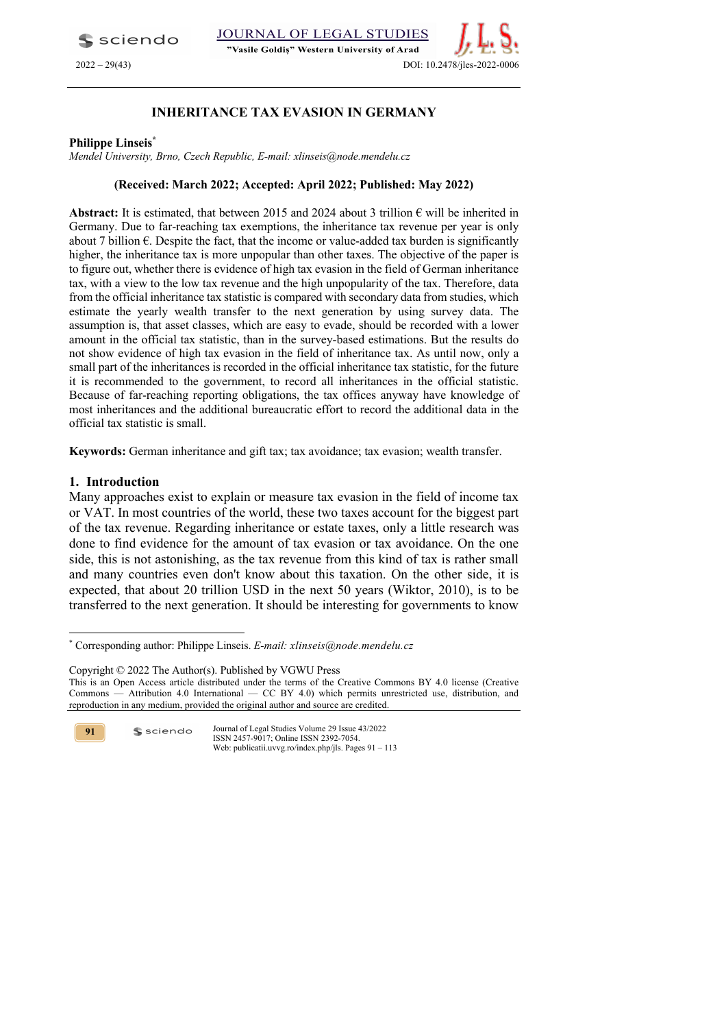**S** sciendo

## JOURNAL OF LEGAL STUDIES

"Vasile Goldis" Western University of Arad



# **INHERITANCE TAX EVASION IN GERMANY**

### **Philippe Linseis\***

*Mendel University, Brno, Czech Republic, E-mail: xlinseis@node.mendelu.cz*

## **(Received: March 2022; Accepted: April 2022; Published: May 2022)**

Abstract: It is estimated, that between 2015 and 2024 about 3 trillion  $\epsilon$  will be inherited in Germany. Due to far-reaching tax exemptions, the inheritance tax revenue per year is only about 7 billion  $\epsilon$ . Despite the fact, that the income or value-added tax burden is significantly higher, the inheritance tax is more unpopular than other taxes. The objective of the paper is to figure out, whether there is evidence of high tax evasion in the field of German inheritance tax, with a view to the low tax revenue and the high unpopularity of the tax. Therefore, data from the official inheritance tax statistic is compared with secondary data from studies, which estimate the yearly wealth transfer to the next generation by using survey data. The assumption is, that asset classes, which are easy to evade, should be recorded with a lower amount in the official tax statistic, than in the survey-based estimations. But the results do not show evidence of high tax evasion in the field of inheritance tax. As until now, only a small part of the inheritances is recorded in the official inheritance tax statistic, for the future it is recommended to the government, to record all inheritances in the official statistic. Because of far-reaching reporting obligations, the tax offices anyway have knowledge of most inheritances and the additional bureaucratic effort to record the additional data in the official tax statistic is small.

**Keywords:** German inheritance and gift tax; tax avoidance; tax evasion; wealth transfer.

## **1. Introduction**

Many approaches exist to explain or measure tax evasion in the field of income tax or VAT. In most countries of the world, these two taxes account for the biggest part of the tax revenue. Regarding inheritance or estate taxes, only a little research was done to find evidence for the amount of tax evasion or tax avoidance. On the one side, this is not astonishing, as the tax revenue from this kind of tax is rather small and many countries even don't know about this taxation. On the other side, it is expected, that about 20 trillion USD in the next 50 years (Wiktor, 2010), is to be transferred to the next generation. It should be interesting for governments to know

Copyright © 2022 The Author(s). Published by VGWU Press

**91**

<sup>\*</sup> Corresponding author: Philippe Linseis. *E-mail: xlinseis@node.mendelu.cz*

This is an Open Access article distributed under the terms of the Creative Commons BY 4.0 license (Creative Commons — Attribution 4.0 International — CC BY 4.0) which permits unrestricted use, distribution, and reproduction in any medium, provided the original author and source are credited.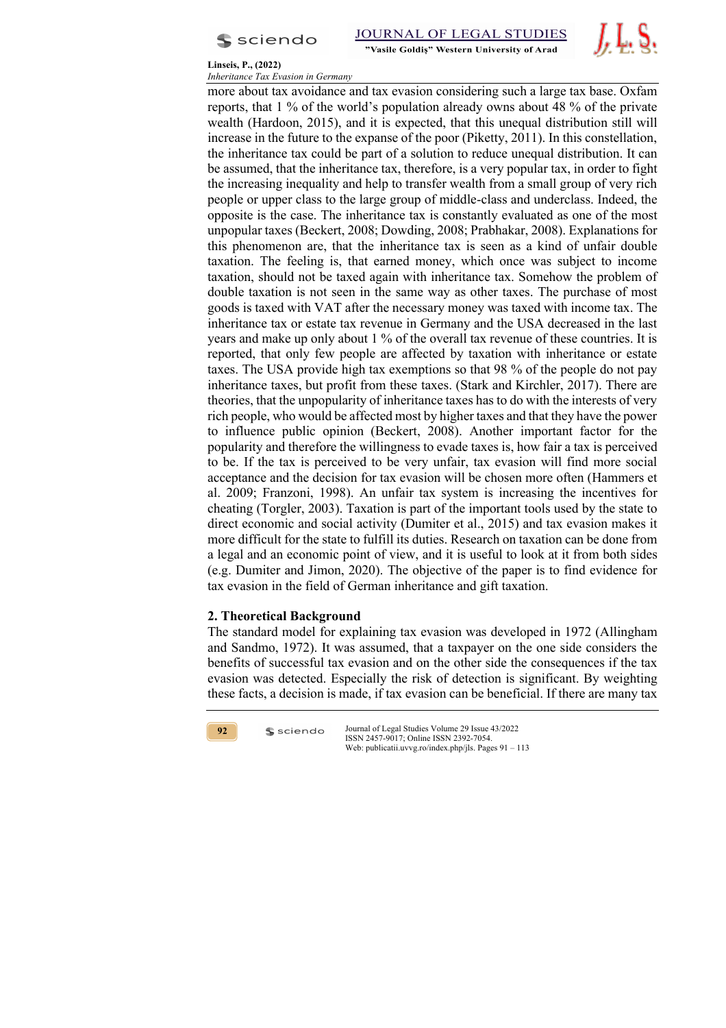



**Linseis, P., (2022)**

*Inheritance Tax Evasion in Germany* more about tax avoidance and tax evasion considering such a large tax base. Oxfam reports, that 1 % of the world's population already owns about 48 % of the private wealth (Hardoon, 2015), and it is expected, that this unequal distribution still will increase in the future to the expanse of the poor (Piketty, 2011). In this constellation, the inheritance tax could be part of a solution to reduce unequal distribution. It can be assumed, that the inheritance tax, therefore, is a very popular tax, in order to fight the increasing inequality and help to transfer wealth from a small group of very rich people or upper class to the large group of middle-class and underclass. Indeed, the opposite is the case. The inheritance tax is constantly evaluated as one of the most unpopular taxes (Beckert, 2008; Dowding, 2008; Prabhakar, 2008). Explanations for this phenomenon are, that the inheritance tax is seen as a kind of unfair double taxation. The feeling is, that earned money, which once was subject to income taxation, should not be taxed again with inheritance tax. Somehow the problem of double taxation is not seen in the same way as other taxes. The purchase of most goods is taxed with VAT after the necessary money was taxed with income tax. The inheritance tax or estate tax revenue in Germany and the USA decreased in the last years and make up only about 1 % of the overall tax revenue of these countries. It is reported, that only few people are affected by taxation with inheritance or estate taxes. The USA provide high tax exemptions so that 98 % of the people do not pay inheritance taxes, but profit from these taxes. (Stark and Kirchler, 2017). There are theories, that the unpopularity of inheritance taxes has to do with the interests of very rich people, who would be affected most by higher taxes and that they have the power to influence public opinion (Beckert, 2008). Another important factor for the popularity and therefore the willingness to evade taxes is, how fair a tax is perceived to be. If the tax is perceived to be very unfair, tax evasion will find more social acceptance and the decision for tax evasion will be chosen more often (Hammers et al. 2009; Franzoni, 1998). An unfair tax system is increasing the incentives for cheating (Torgler, 2003). Taxation is part of the important tools used by the state to direct economic and social activity (Dumiter et al., 2015) and tax evasion makes it more difficult for the state to fulfill its duties. Research on taxation can be done from a legal and an economic point of view, and it is useful to look at it from both sides (e.g. Dumiter and Jimon, 2020). The objective of the paper is to find evidence for tax evasion in the field of German inheritance and gift taxation.

# **2. Theoretical Background**

 $s$  sciendo

The standard model for explaining tax evasion was developed in 1972 (Allingham and Sandmo, 1972). It was assumed, that a taxpayer on the one side considers the benefits of successful tax evasion and on the other side the consequences if the tax evasion was detected. Especially the risk of detection is significant. By weighting these facts, a decision is made, if tax evasion can be beneficial. If there are many tax

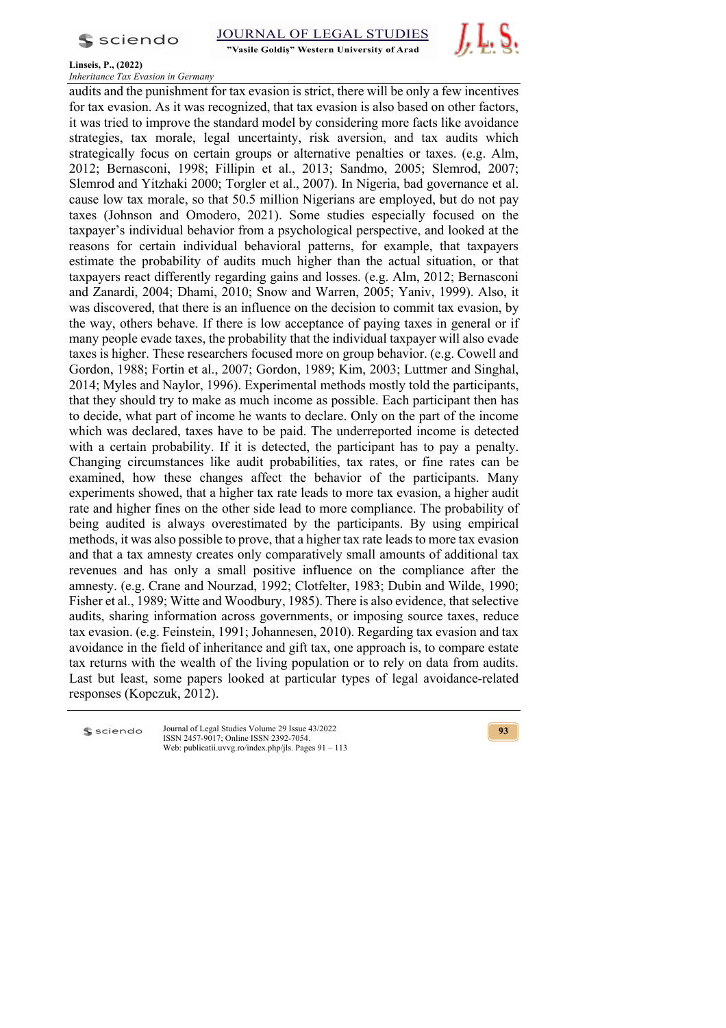

"Vasile Goldis" Western University of Arad



### **Linseis, P., (2022)**

*Inheritance Tax Evasion in Germany*

audits and the punishment for tax evasion is strict, there will be only a few incentives for tax evasion. As it was recognized, that tax evasion is also based on other factors, it was tried to improve the standard model by considering more facts like avoidance strategies, tax morale, legal uncertainty, risk aversion, and tax audits which strategically focus on certain groups or alternative penalties or taxes. (e.g. Alm, 2012; Bernasconi, 1998; Fillipin et al., 2013; Sandmo, 2005; Slemrod, 2007; Slemrod and Yitzhaki 2000; Torgler et al., 2007). In Nigeria, bad governance et al. cause low tax morale, so that 50.5 million Nigerians are employed, but do not pay taxes (Johnson and Omodero, 2021). Some studies especially focused on the taxpayer's individual behavior from a psychological perspective, and looked at the reasons for certain individual behavioral patterns, for example, that taxpayers estimate the probability of audits much higher than the actual situation, or that taxpayers react differently regarding gains and losses. (e.g. Alm, 2012; Bernasconi and Zanardi, 2004; Dhami, 2010; Snow and Warren, 2005; Yaniv, 1999). Also, it was discovered, that there is an influence on the decision to commit tax evasion, by the way, others behave. If there is low acceptance of paying taxes in general or if many people evade taxes, the probability that the individual taxpayer will also evade taxes is higher. These researchers focused more on group behavior. (e.g. Cowell and Gordon, 1988; Fortin et al., 2007; Gordon, 1989; Kim, 2003; Luttmer and Singhal, 2014; Myles and Naylor, 1996). Experimental methods mostly told the participants, that they should try to make as much income as possible. Each participant then has to decide, what part of income he wants to declare. Only on the part of the income which was declared, taxes have to be paid. The underreported income is detected with a certain probability. If it is detected, the participant has to pay a penalty. Changing circumstances like audit probabilities, tax rates, or fine rates can be examined, how these changes affect the behavior of the participants. Many experiments showed, that a higher tax rate leads to more tax evasion, a higher audit rate and higher fines on the other side lead to more compliance. The probability of being audited is always overestimated by the participants. By using empirical methods, it was also possible to prove, that a higher tax rate leads to more tax evasion and that a tax amnesty creates only comparatively small amounts of additional tax revenues and has only a small positive influence on the compliance after the amnesty. (e.g. Crane and Nourzad, 1992; Clotfelter, 1983; Dubin and Wilde, 1990; Fisher et al., 1989; Witte and Woodbury, 1985). There is also evidence, that selective audits, sharing information across governments, or imposing source taxes, reduce tax evasion. (e.g. Feinstein, 1991; Johannesen, 2010). Regarding tax evasion and tax avoidance in the field of inheritance and gift tax, one approach is, to compare estate tax returns with the wealth of the living population or to rely on data from audits. Last but least, some papers looked at particular types of legal avoidance-related responses (Kopczuk, 2012).

sciendo

Journal of Legal Studies Volume 29 Issue 43/2022 ISSN 2457-9017; Online ISSN 2392-7054. Web: publicatii.uvvg.ro/index.php/jls. Pages 91 – 113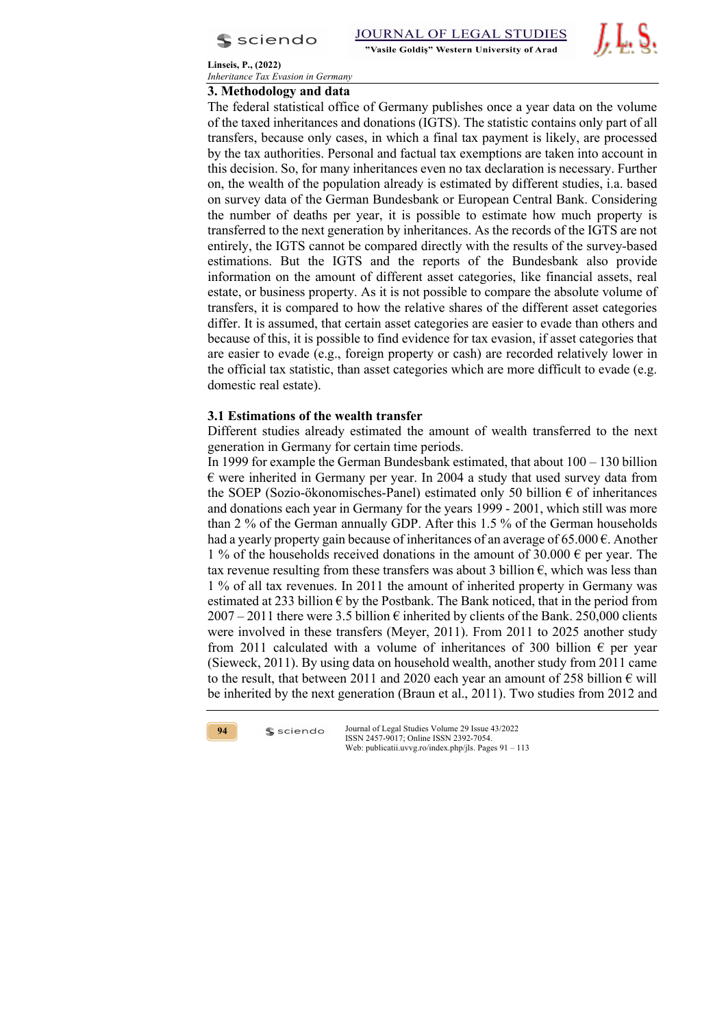



# **3. Methodology and data**

The federal statistical office of Germany publishes once a year data on the volume of the taxed inheritances and donations (IGTS). The statistic contains only part of all transfers, because only cases, in which a final tax payment is likely, are processed by the tax authorities. Personal and factual tax exemptions are taken into account in this decision. So, for many inheritances even no tax declaration is necessary. Further on, the wealth of the population already is estimated by different studies, i.a. based on survey data of the German Bundesbank or European Central Bank. Considering the number of deaths per year, it is possible to estimate how much property is transferred to the next generation by inheritances. As the records of the IGTS are not entirely, the IGTS cannot be compared directly with the results of the survey-based estimations. But the IGTS and the reports of the Bundesbank also provide information on the amount of different asset categories, like financial assets, real estate, or business property. As it is not possible to compare the absolute volume of transfers, it is compared to how the relative shares of the different asset categories differ. It is assumed, that certain asset categories are easier to evade than others and because of this, it is possible to find evidence for tax evasion, if asset categories that are easier to evade (e.g., foreign property or cash) are recorded relatively lower in the official tax statistic, than asset categories which are more difficult to evade (e.g. domestic real estate).

# **3.1 Estimations of the wealth transfer**

Different studies already estimated the amount of wealth transferred to the next generation in Germany for certain time periods.

In 1999 for example the German Bundesbank estimated, that about  $100 - 130$  billion  $\epsilon$  were inherited in Germany per year. In 2004 a study that used survey data from the SOEP (Sozio-ökonomisches-Panel) estimated only 50 billion  $\epsilon$  of inheritances and donations each year in Germany for the years 1999 - 2001, which still was more than 2 % of the German annually GDP. After this 1.5 % of the German households had a yearly property gain because of inheritances of an average of 65.000  $\epsilon$ . Another 1 % of the households received donations in the amount of 30.000  $\epsilon$  per year. The tax revenue resulting from these transfers was about 3 billion  $\epsilon$ , which was less than 1 % of all tax revenues. In 2011 the amount of inherited property in Germany was estimated at 233 billion  $\epsilon$  by the Postbank. The Bank noticed, that in the period from  $2007 - 2011$  there were 3.5 billion  $\epsilon$  inherited by clients of the Bank. 250,000 clients were involved in these transfers (Meyer, 2011). From 2011 to 2025 another study from 2011 calculated with a volume of inheritances of 300 billion  $\epsilon$  per year (Sieweck, 2011). By using data on household wealth, another study from 2011 came to the result, that between 2011 and 2020 each year an amount of 258 billion  $\epsilon$  will be inherited by the next generation (Braun et al., 2011). Two studies from 2012 and



 $s$  sciendo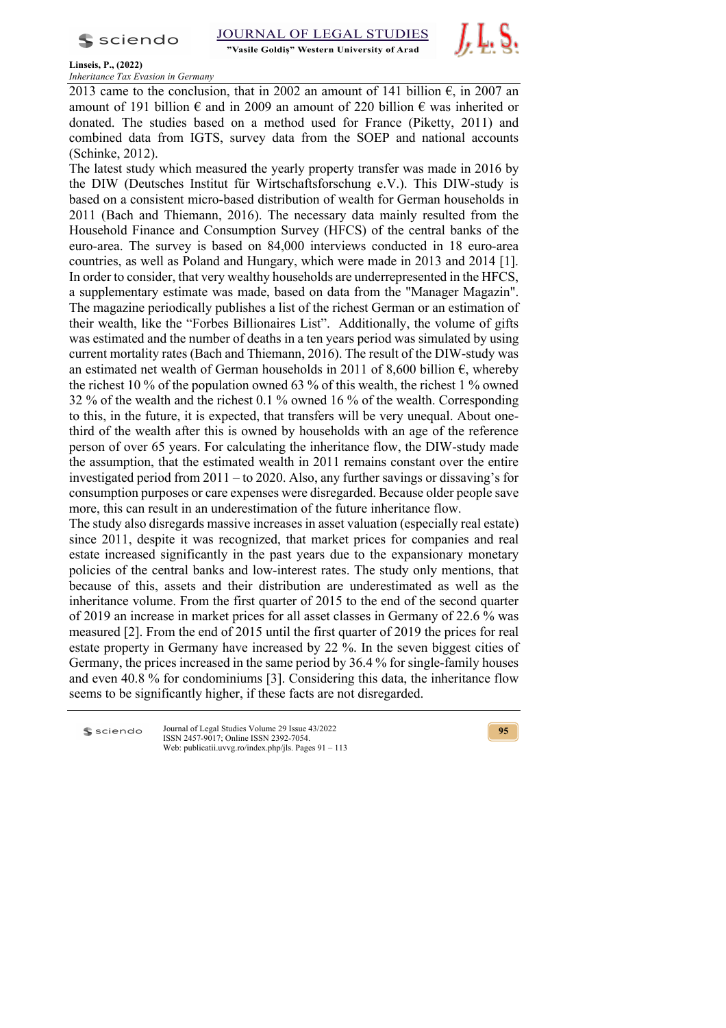$s$  sciendo

"Vasile Goldis" Western University of Arad



**Linseis, P., (2022)**

*Inheritance Tax Evasion in Germany*

2013 came to the conclusion, that in 2002 an amount of 141 billion  $\epsilon$ , in 2007 an amount of 191 billion  $\epsilon$  and in 2009 an amount of 220 billion  $\epsilon$  was inherited or donated. The studies based on a method used for France (Piketty, 2011) and combined data from IGTS, survey data from the SOEP and national accounts (Schinke, 2012).

The latest study which measured the yearly property transfer was made in 2016 by the DIW (Deutsches Institut für Wirtschaftsforschung e.V.). This DIW-study is based on a consistent micro-based distribution of wealth for German households in 2011 (Bach and Thiemann, 2016). The necessary data mainly resulted from the Household Finance and Consumption Survey (HFCS) of the central banks of the euro-area. The survey is based on 84,000 interviews conducted in 18 euro-area countries, as well as Poland and Hungary, which were made in 2013 and 2014 [1]. In order to consider, that very wealthy households are underrepresented in the HFCS, a supplementary estimate was made, based on data from the "Manager Magazin". The magazine periodically publishes a list of the richest German or an estimation of their wealth, like the "Forbes Billionaires List". Additionally, the volume of gifts was estimated and the number of deaths in a ten years period was simulated by using current mortality rates (Bach and Thiemann, 2016). The result of the DIW-study was an estimated net wealth of German households in 2011 of 8,600 billion  $\epsilon$ , whereby the richest 10 % of the population owned 63 % of this wealth, the richest 1 % owned 32 % of the wealth and the richest 0.1 % owned 16 % of the wealth. Corresponding to this, in the future, it is expected, that transfers will be very unequal. About onethird of the wealth after this is owned by households with an age of the reference person of over 65 years. For calculating the inheritance flow, the DIW-study made the assumption, that the estimated wealth in 2011 remains constant over the entire investigated period from 2011 – to 2020. Also, any further savings or dissaving's for consumption purposes or care expenses were disregarded. Because older people save more, this can result in an underestimation of the future inheritance flow.

The study also disregards massive increases in asset valuation (especially real estate) since 2011, despite it was recognized, that market prices for companies and real estate increased significantly in the past years due to the expansionary monetary policies of the central banks and low-interest rates. The study only mentions, that because of this, assets and their distribution are underestimated as well as the inheritance volume. From the first quarter of 2015 to the end of the second quarter of 2019 an increase in market prices for all asset classes in Germany of 22.6 % was measured [2]. From the end of 2015 until the first quarter of 2019 the prices for real estate property in Germany have increased by 22 %. In the seven biggest cities of Germany, the prices increased in the same period by 36.4 % for single-family houses and even 40.8 % for condominiums [3]. Considering this data, the inheritance flow seems to be significantly higher, if these facts are not disregarded.

**S** sciendo

Journal of Legal Studies Volume 29 Issue 43/2022 ISSN 2457-9017; Online ISSN 2392-7054. Web: publicatii.uvvg.ro/index.php/jls. Pages 91 – 113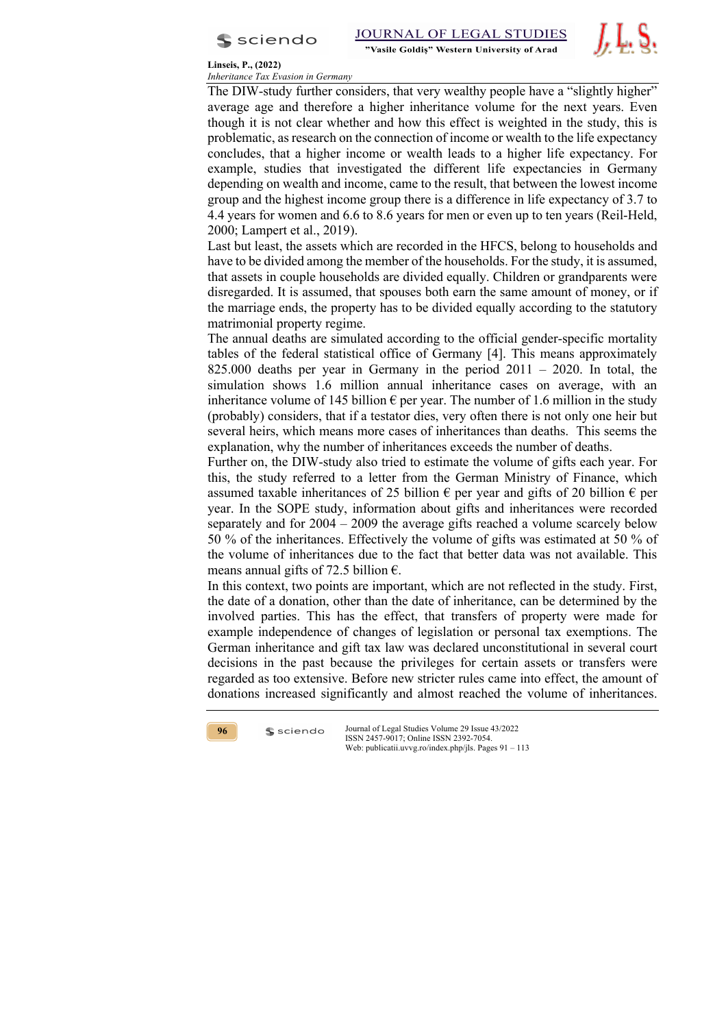



The DIW-study further considers, that very wealthy people have a "slightly higher" average age and therefore a higher inheritance volume for the next years. Even though it is not clear whether and how this effect is weighted in the study, this is problematic, as research on the connection of income or wealth to the life expectancy concludes, that a higher income or wealth leads to a higher life expectancy. For example, studies that investigated the different life expectancies in Germany depending on wealth and income, came to the result, that between the lowest income group and the highest income group there is a difference in life expectancy of 3.7 to 4.4 years for women and 6.6 to 8.6 years for men or even up to ten years (Reil-Held, 2000; Lampert et al., 2019).

Last but least, the assets which are recorded in the HFCS, belong to households and have to be divided among the member of the households. For the study, it is assumed, that assets in couple households are divided equally. Children or grandparents were disregarded. It is assumed, that spouses both earn the same amount of money, or if the marriage ends, the property has to be divided equally according to the statutory matrimonial property regime.

The annual deaths are simulated according to the official gender-specific mortality tables of the federal statistical office of Germany [4]. This means approximately 825.000 deaths per year in Germany in the period  $2011 - 2020$ . In total, the simulation shows 1.6 million annual inheritance cases on average, with an inheritance volume of 145 billion  $\epsilon$  per year. The number of 1.6 million in the study (probably) considers, that if a testator dies, very often there is not only one heir but several heirs, which means more cases of inheritances than deaths. This seems the explanation, why the number of inheritances exceeds the number of deaths.

Further on, the DIW-study also tried to estimate the volume of gifts each year. For this, the study referred to a letter from the German Ministry of Finance, which assumed taxable inheritances of 25 billion  $\epsilon$  per year and gifts of 20 billion  $\epsilon$  per year. In the SOPE study, information about gifts and inheritances were recorded separately and for 2004 – 2009 the average gifts reached a volume scarcely below 50 % of the inheritances. Effectively the volume of gifts was estimated at 50 % of the volume of inheritances due to the fact that better data was not available. This means annual gifts of 72.5 billion  $\epsilon$ .

In this context, two points are important, which are not reflected in the study. First, the date of a donation, other than the date of inheritance, can be determined by the involved parties. This has the effect, that transfers of property were made for example independence of changes of legislation or personal tax exemptions. The German inheritance and gift tax law was declared unconstitutional in several court decisions in the past because the privileges for certain assets or transfers were regarded as too extensive. Before new stricter rules came into effect, the amount of donations increased significantly and almost reached the volume of inheritances.



 $s$  sciendo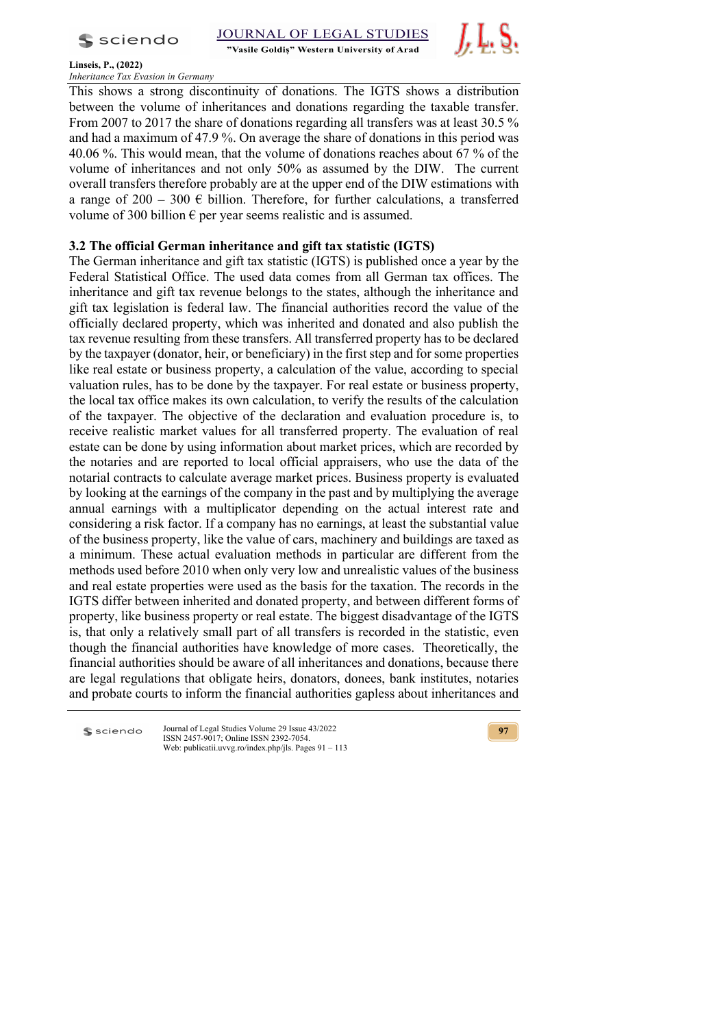

"Vasile Goldis" Western University of Arad



**Linseis, P., (2022)** *Inheritance Tax Evasion in Germany*

This shows a strong discontinuity of donations. The IGTS shows a distribution between the volume of inheritances and donations regarding the taxable transfer. From 2007 to 2017 the share of donations regarding all transfers was at least 30.5 % and had a maximum of 47.9 %. On average the share of donations in this period was 40.06 %. This would mean, that the volume of donations reaches about 67 % of the volume of inheritances and not only 50% as assumed by the DIW. The current overall transfers therefore probably are at the upper end of the DIW estimations with a range of  $200 - 300 \in$  billion. Therefore, for further calculations, a transferred volume of 300 billion  $\epsilon$  per year seems realistic and is assumed.

# **3.2 The official German inheritance and gift tax statistic (IGTS)**

The German inheritance and gift tax statistic (IGTS) is published once a year by the Federal Statistical Office. The used data comes from all German tax offices. The inheritance and gift tax revenue belongs to the states, although the inheritance and gift tax legislation is federal law. The financial authorities record the value of the officially declared property, which was inherited and donated and also publish the tax revenue resulting from these transfers. All transferred property has to be declared by the taxpayer (donator, heir, or beneficiary) in the first step and for some properties like real estate or business property, a calculation of the value, according to special valuation rules, has to be done by the taxpayer. For real estate or business property, the local tax office makes its own calculation, to verify the results of the calculation of the taxpayer. The objective of the declaration and evaluation procedure is, to receive realistic market values for all transferred property. The evaluation of real estate can be done by using information about market prices, which are recorded by the notaries and are reported to local official appraisers, who use the data of the notarial contracts to calculate average market prices. Business property is evaluated by looking at the earnings of the company in the past and by multiplying the average annual earnings with a multiplicator depending on the actual interest rate and considering a risk factor. If a company has no earnings, at least the substantial value of the business property, like the value of cars, machinery and buildings are taxed as a minimum. These actual evaluation methods in particular are different from the methods used before 2010 when only very low and unrealistic values of the business and real estate properties were used as the basis for the taxation. The records in the IGTS differ between inherited and donated property, and between different forms of property, like business property or real estate. The biggest disadvantage of the IGTS is, that only a relatively small part of all transfers is recorded in the statistic, even though the financial authorities have knowledge of more cases. Theoretically, the financial authorities should be aware of all inheritances and donations, because there are legal regulations that obligate heirs, donators, donees, bank institutes, notaries and probate courts to inform the financial authorities gapless about inheritances and

 $s$  sciendo

Journal of Legal Studies Volume 29 Issue 43/2022 ISSN 2457-9017; Online ISSN 2392-7054. Web: publicatii.uvvg.ro/index.php/jls. Pages 91 – 113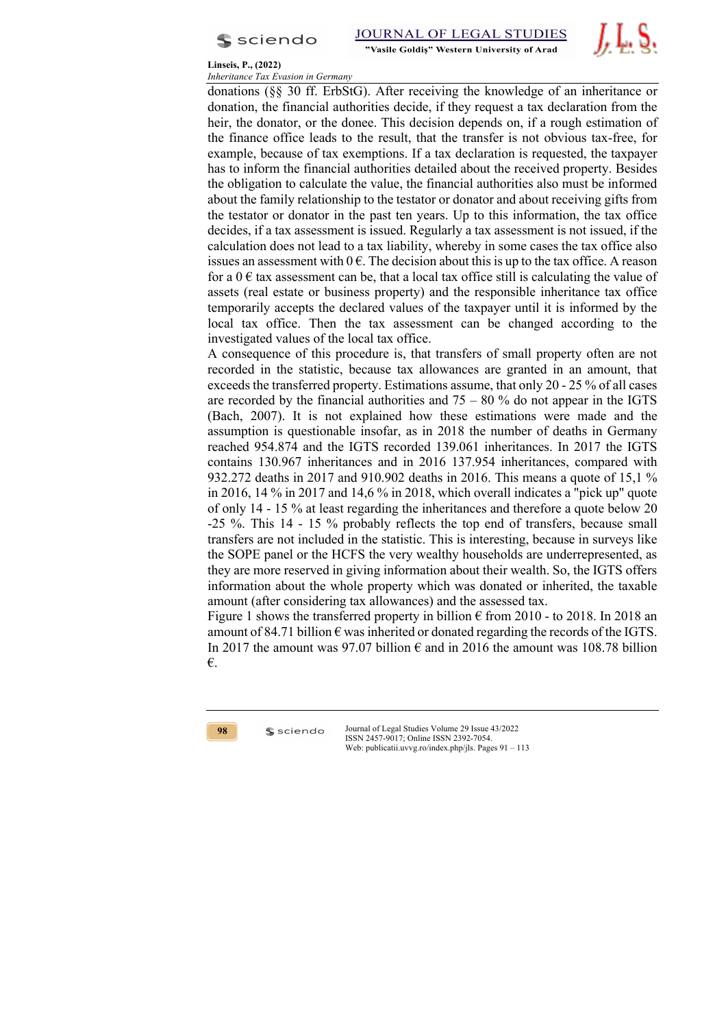



donations (§§ 30 ff. ErbStG). After receiving the knowledge of an inheritance or donation, the financial authorities decide, if they request a tax declaration from the heir, the donator, or the donee. This decision depends on, if a rough estimation of the finance office leads to the result, that the transfer is not obvious tax-free, for example, because of tax exemptions. If a tax declaration is requested, the taxpayer has to inform the financial authorities detailed about the received property. Besides the obligation to calculate the value, the financial authorities also must be informed about the family relationship to the testator or donator and about receiving gifts from the testator or donator in the past ten years. Up to this information, the tax office decides, if a tax assessment is issued. Regularly a tax assessment is not issued, if the calculation does not lead to a tax liability, whereby in some cases the tax office also issues an assessment with  $0 \in \mathbb{R}$ . The decision about this is up to the tax office. A reason for a  $0 \in \text{tax assessment}$  can be, that a local tax office still is calculating the value of assets (real estate or business property) and the responsible inheritance tax office temporarily accepts the declared values of the taxpayer until it is informed by the local tax office. Then the tax assessment can be changed according to the investigated values of the local tax office.

A consequence of this procedure is, that transfers of small property often are not recorded in the statistic, because tax allowances are granted in an amount, that exceeds the transferred property. Estimations assume, that only 20 - 25 % of all cases are recorded by the financial authorities and  $75 - 80$  % do not appear in the IGTS (Bach, 2007). It is not explained how these estimations were made and the assumption is questionable insofar, as in 2018 the number of deaths in Germany reached 954.874 and the IGTS recorded 139.061 inheritances. In 2017 the IGTS contains 130.967 inheritances and in 2016 137.954 inheritances, compared with 932.272 deaths in 2017 and 910.902 deaths in 2016. This means a quote of 15,1 % in 2016, 14 % in 2017 and 14,6 % in 2018, which overall indicates a "pick up" quote of only 14 - 15 % at least regarding the inheritances and therefore a quote below 20 -25 %. This 14 - 15 % probably reflects the top end of transfers, because small transfers are not included in the statistic. This is interesting, because in surveys like the SOPE panel or the HCFS the very wealthy households are underrepresented, as they are more reserved in giving information about their wealth. So, the IGTS offers information about the whole property which was donated or inherited, the taxable amount (after considering tax allowances) and the assessed tax.

Figure 1 shows the transferred property in billion  $\epsilon$  from 2010 - to 2018. In 2018 an amount of 84.71 billion  $\epsilon$  was inherited or donated regarding the records of the IGTS. In 2017 the amount was 97.07 billion  $\epsilon$  and in 2016 the amount was 108.78 billion €.

**98**

 $s$  sciendo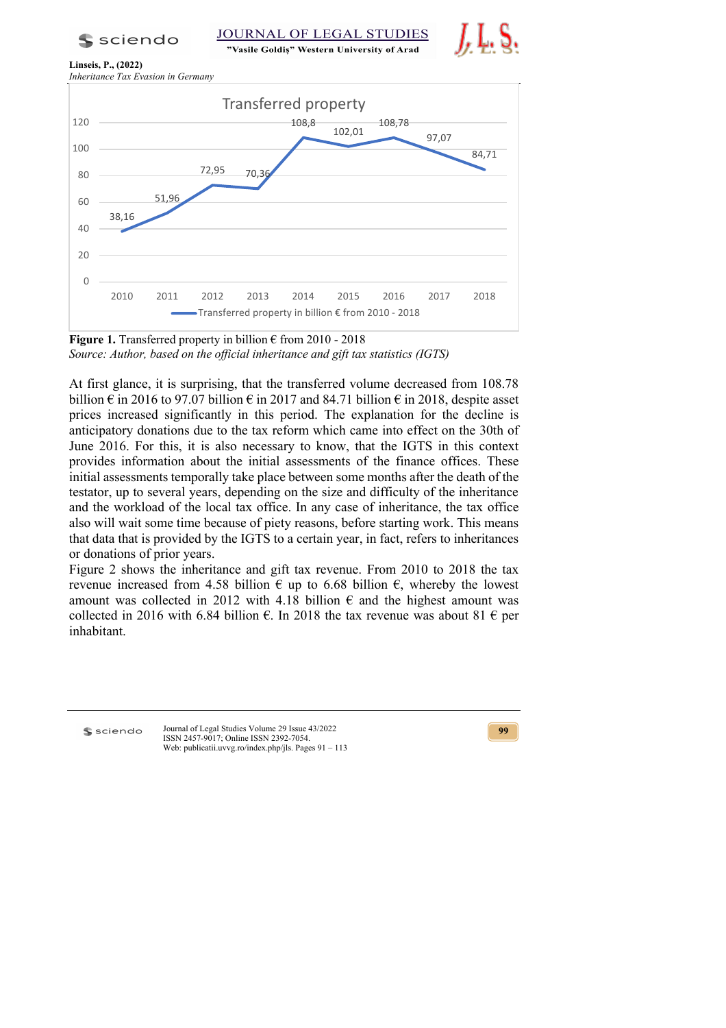"Vasile Goldis" Western University of Arad







**Figure 1.** Transferred property in billion  $\epsilon$  from 2010 - 2018 *Source: Author, based on the official inheritance and gift tax statistics (IGTS)*

At first glance, it is surprising, that the transferred volume decreased from 108.78 billion  $\epsilon$  in 2016 to 97.07 billion  $\epsilon$  in 2017 and 84.71 billion  $\epsilon$  in 2018, despite asset prices increased significantly in this period. The explanation for the decline is anticipatory donations due to the tax reform which came into effect on the 30th of June 2016. For this, it is also necessary to know, that the IGTS in this context provides information about the initial assessments of the finance offices. These initial assessments temporally take place between some months after the death of the testator, up to several years, depending on the size and difficulty of the inheritance and the workload of the local tax office. In any case of inheritance, the tax office also will wait some time because of piety reasons, before starting work. This means that data that is provided by the IGTS to a certain year, in fact, refers to inheritances or donations of prior years.

Figure 2 shows the inheritance and gift tax revenue. From 2010 to 2018 the tax revenue increased from 4.58 billion  $\epsilon$  up to 6.68 billion  $\epsilon$ , whereby the lowest amount was collected in 2012 with 4.18 billion  $\epsilon$  and the highest amount was collected in 2016 with 6.84 billion  $\epsilon$ . In 2018 the tax revenue was about 81  $\epsilon$  per inhabitant.

**S** sciendo

Journal of Legal Studies Volume 29 Issue 43/2022 ISSN 2457-9017; Online ISSN 2392-7054. Web: publicatii.uvvg.ro/index.php/jls. Pages 91 – 113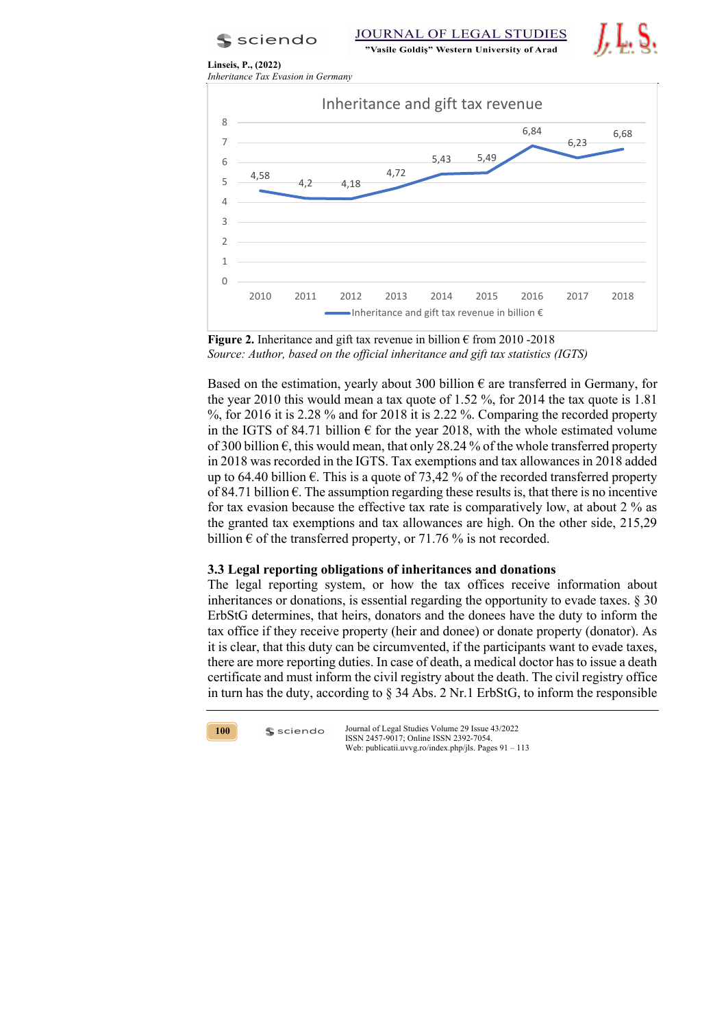$s$  sciendo

**JOURNAL OF LEGAL STUDIES** 

"Vasile Goldiș" Western University of Arad





**Figure 2.** Inheritance and gift tax revenue in billion  $\epsilon$  from 2010 -2018 *Source: Author, based on the official inheritance and gift tax statistics (IGTS)*

Based on the estimation, yearly about 300 billion  $\epsilon$  are transferred in Germany, for the year 2010 this would mean a tax quote of 1.52 %, for 2014 the tax quote is 1.81 %, for 2016 it is 2.28 % and for 2018 it is 2.22 %. Comparing the recorded property in the IGTS of 84.71 billion  $\epsilon$  for the year 2018, with the whole estimated volume of 300 billion  $\epsilon$ , this would mean, that only 28.24 % of the whole transferred property in 2018 was recorded in the IGTS. Tax exemptions and tax allowances in 2018 added up to 64.40 billion  $\epsilon$ . This is a quote of 73,42 % of the recorded transferred property of 84.71 billion  $\epsilon$ . The assumption regarding these results is, that there is no incentive for tax evasion because the effective tax rate is comparatively low, at about 2 % as the granted tax exemptions and tax allowances are high. On the other side, 215,29 billion  $\epsilon$  of the transferred property, or 71.76 % is not recorded.

# **3.3 Legal reporting obligations of inheritances and donations**

The legal reporting system, or how the tax offices receive information about inheritances or donations, is essential regarding the opportunity to evade taxes. § 30 ErbStG determines, that heirs, donators and the donees have the duty to inform the tax office if they receive property (heir and donee) or donate property (donator). As it is clear, that this duty can be circumvented, if the participants want to evade taxes, there are more reporting duties. In case of death, a medical doctor has to issue a death certificate and must inform the civil registry about the death. The civil registry office in turn has the duty, according to § 34 Abs. 2 Nr.1 ErbStG, to inform the responsible



 $s$  sciendo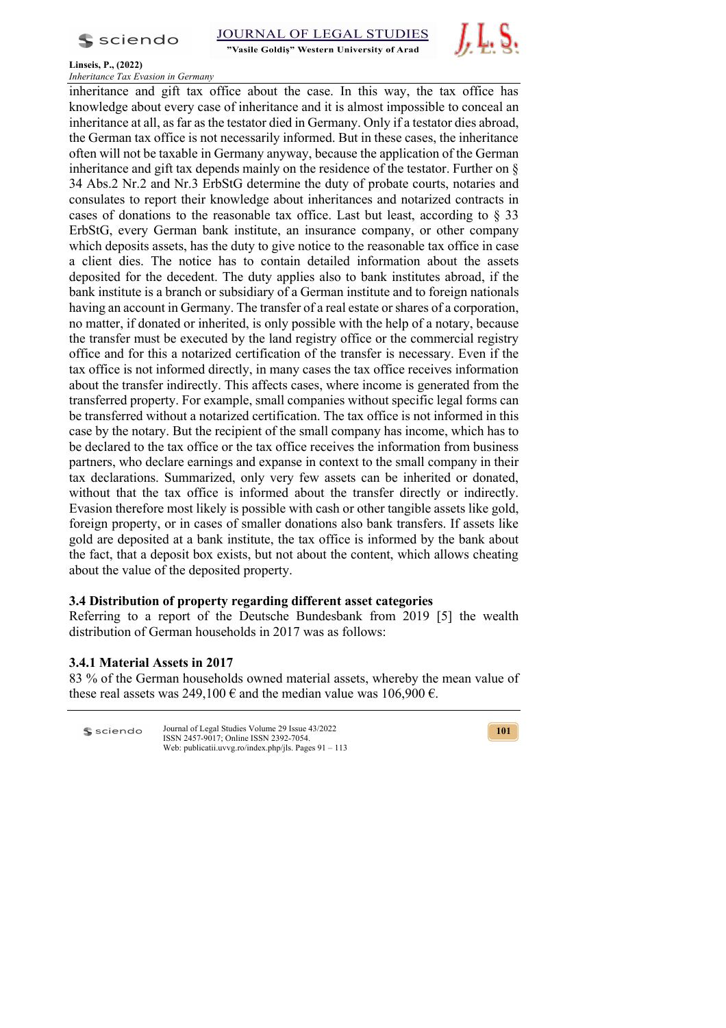

"Vasile Goldis" Western University of Arad



## **Linseis, P., (2022)**

*Inheritance Tax Evasion in Germany*

inheritance and gift tax office about the case. In this way, the tax office has knowledge about every case of inheritance and it is almost impossible to conceal an inheritance at all, as far as the testator died in Germany. Only if a testator dies abroad, the German tax office is not necessarily informed. But in these cases, the inheritance often will not be taxable in Germany anyway, because the application of the German inheritance and gift tax depends mainly on the residence of the testator. Further on § 34 Abs.2 Nr.2 and Nr.3 ErbStG determine the duty of probate courts, notaries and consulates to report their knowledge about inheritances and notarized contracts in cases of donations to the reasonable tax office. Last but least, according to § 33 ErbStG, every German bank institute, an insurance company, or other company which deposits assets, has the duty to give notice to the reasonable tax office in case a client dies. The notice has to contain detailed information about the assets deposited for the decedent. The duty applies also to bank institutes abroad, if the bank institute is a branch or subsidiary of a German institute and to foreign nationals having an account in Germany. The transfer of a real estate or shares of a corporation, no matter, if donated or inherited, is only possible with the help of a notary, because the transfer must be executed by the land registry office or the commercial registry office and for this a notarized certification of the transfer is necessary. Even if the tax office is not informed directly, in many cases the tax office receives information about the transfer indirectly. This affects cases, where income is generated from the transferred property. For example, small companies without specific legal forms can be transferred without a notarized certification. The tax office is not informed in this case by the notary. But the recipient of the small company has income, which has to be declared to the tax office or the tax office receives the information from business partners, who declare earnings and expanse in context to the small company in their tax declarations. Summarized, only very few assets can be inherited or donated, without that the tax office is informed about the transfer directly or indirectly. Evasion therefore most likely is possible with cash or other tangible assets like gold, foreign property, or in cases of smaller donations also bank transfers. If assets like gold are deposited at a bank institute, the tax office is informed by the bank about the fact, that a deposit box exists, but not about the content, which allows cheating about the value of the deposited property.

# **3.4 Distribution of property regarding different asset categories**

Referring to a report of the Deutsche Bundesbank from 2019 [5] the wealth distribution of German households in 2017 was as follows:

# **3.4.1 Material Assets in 2017**

83 % of the German households owned material assets, whereby the mean value of these real assets was 249,100  $\epsilon$  and the median value was 106,900  $\epsilon$ .

| $s$ sciendo | Journal of Legal Studies Volume 29 Issue 43/2022        |
|-------------|---------------------------------------------------------|
|             | ISSN 2457-9017; Online ISSN 2392-7054.                  |
|             | Web: publicatii.uvvg.ro/index.php/jls. Pages $91 - 113$ |

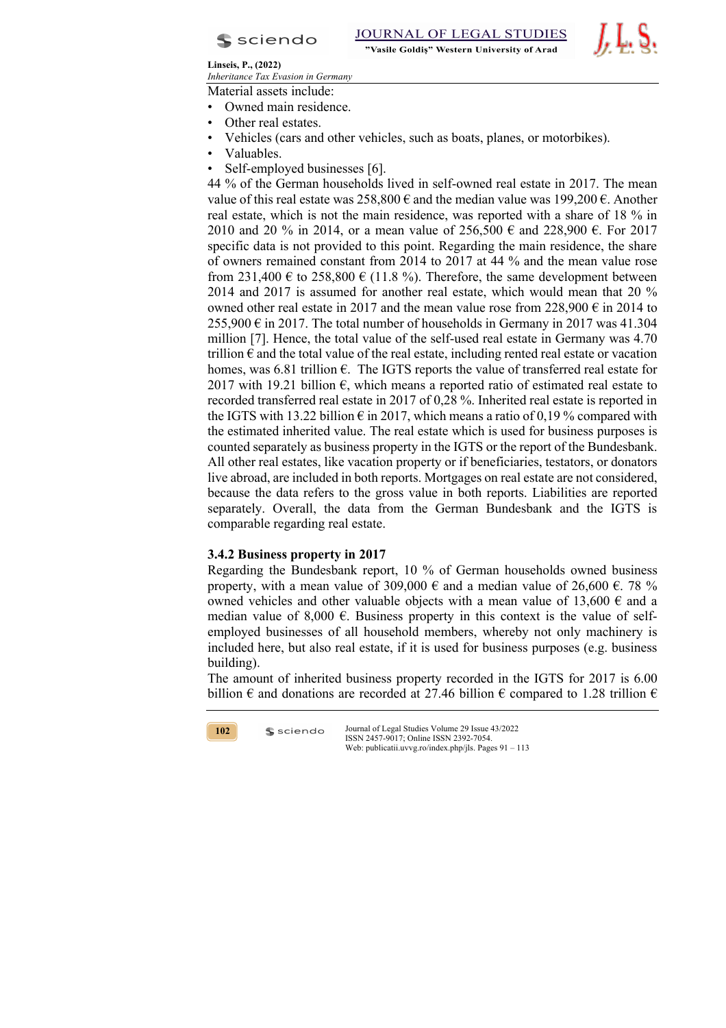



Material assets include:

- Owned main residence.
- Other real estates.
- Vehicles (cars and other vehicles, such as boats, planes, or motorbikes).
- Valuables.
- Self-employed businesses [6].

44 % of the German households lived in self-owned real estate in 2017. The mean value of this real estate was  $258,800 \text{ } \in \mathbb{R}$  and the median value was 199,200  $\in \mathbb{R}$ . Another real estate, which is not the main residence, was reported with a share of 18 % in 2010 and 20 % in 2014, or a mean value of 256,500 € and 228,900 €. For 2017 specific data is not provided to this point. Regarding the main residence, the share of owners remained constant from 2014 to 2017 at 44 % and the mean value rose from 231,400  $\epsilon$  to 258,800  $\epsilon$  (11.8 %). Therefore, the same development between 2014 and 2017 is assumed for another real estate, which would mean that 20 % owned other real estate in 2017 and the mean value rose from 228,900  $\epsilon$  in 2014 to  $255,900 \in \text{in } 2017$ . The total number of households in Germany in 2017 was 41.304 million [7]. Hence, the total value of the self-used real estate in Germany was 4.70 trillion  $\epsilon$  and the total value of the real estate, including rented real estate or vacation homes, was 6.81 trillion  $\epsilon$ . The IGTS reports the value of transferred real estate for 2017 with 19.21 billion  $\epsilon$ , which means a reported ratio of estimated real estate to recorded transferred real estate in 2017 of 0,28 %. Inherited real estate is reported in the IGTS with 13.22 billion  $\epsilon$  in 2017, which means a ratio of 0,19% compared with the estimated inherited value. The real estate which is used for business purposes is counted separately as business property in the IGTS or the report of the Bundesbank. All other real estates, like vacation property or if beneficiaries, testators, or donators live abroad, are included in both reports. Mortgages on real estate are not considered, because the data refers to the gross value in both reports. Liabilities are reported separately. Overall, the data from the German Bundesbank and the IGTS is comparable regarding real estate.

# **3.4.2 Business property in 2017**

 $s$  sciendo

Regarding the Bundesbank report, 10 % of German households owned business property, with a mean value of 309,000  $\epsilon$  and a median value of 26,600  $\epsilon$ . 78 % owned vehicles and other valuable objects with a mean value of 13,600  $\epsilon$  and a median value of 8,000  $\epsilon$ . Business property in this context is the value of selfemployed businesses of all household members, whereby not only machinery is included here, but also real estate, if it is used for business purposes (e.g. business building).

The amount of inherited business property recorded in the IGTS for 2017 is 6.00 billion  $\epsilon$  and donations are recorded at 27.46 billion  $\epsilon$  compared to 1.28 trillion  $\epsilon$ 

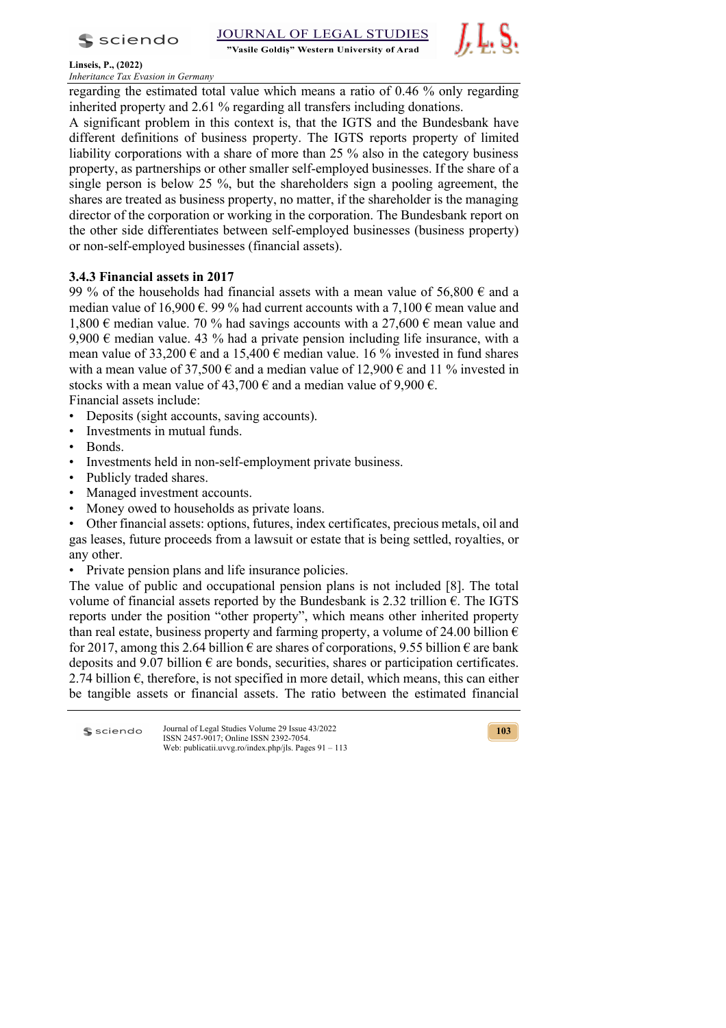s sciendo

"Vasile Goldis" Western University of Arad



**Linseis, P., (2022)**

*Inheritance Tax Evasion in Germany*

regarding the estimated total value which means a ratio of 0.46 % only regarding inherited property and 2.61 % regarding all transfers including donations.

A significant problem in this context is, that the IGTS and the Bundesbank have different definitions of business property. The IGTS reports property of limited liability corporations with a share of more than 25 % also in the category business property, as partnerships or other smaller self-employed businesses. If the share of a single person is below 25 %, but the shareholders sign a pooling agreement, the shares are treated as business property, no matter, if the shareholder is the managing director of the corporation or working in the corporation. The Bundesbank report on the other side differentiates between self-employed businesses (business property) or non-self-employed businesses (financial assets).

# **3.4.3 Financial assets in 2017**

99 % of the households had financial assets with a mean value of 56,800  $\epsilon$  and a median value of 16,900  $\epsilon$ . 99 % had current accounts with a 7,100  $\epsilon$  mean value and 1,800  $\epsilon$  median value. 70 % had savings accounts with a 27,600  $\epsilon$  mean value and 9,900  $\epsilon$  median value. 43 % had a private pension including life insurance, with a mean value of 33,200  $\epsilon$  and a 15,400  $\epsilon$  median value. 16 % invested in fund shares with a mean value of 37,500  $\epsilon$  and a median value of 12,900  $\epsilon$  and 11 % invested in stocks with a mean value of 43,700  $\epsilon$  and a median value of 9,900  $\epsilon$ .

Financial assets include:

- Deposits (sight accounts, saving accounts).
- Investments in mutual funds.
- Bonds.
- Investments held in non-self-employment private business.
- Publicly traded shares.
- Managed investment accounts.
- Money owed to households as private loans.

• Other financial assets: options, futures, index certificates, precious metals, oil and gas leases, future proceeds from a lawsuit or estate that is being settled, royalties, or any other.

• Private pension plans and life insurance policies.

The value of public and occupational pension plans is not included [8]. The total volume of financial assets reported by the Bundesbank is 2.32 trillion  $\epsilon$ . The IGTS reports under the position "other property", which means other inherited property than real estate, business property and farming property, a volume of 24.00 billion  $\epsilon$ for 2017, among this 2.64 billion  $\epsilon$  are shares of corporations, 9.55 billion  $\epsilon$  are bank deposits and 9.07 billion  $\epsilon$  are bonds, securities, shares or participation certificates. 2.74 billion  $\epsilon$ , therefore, is not specified in more detail, which means, this can either be tangible assets or financial assets. The ratio between the estimated financial

Journal of Legal Studies Volume 29 Issue 43/2022 **S** sciendo ISSN 2457-9017; Online ISSN 2392-7054. Web: publicatii.uvvg.ro/index.php/jls. Pages 91 – 113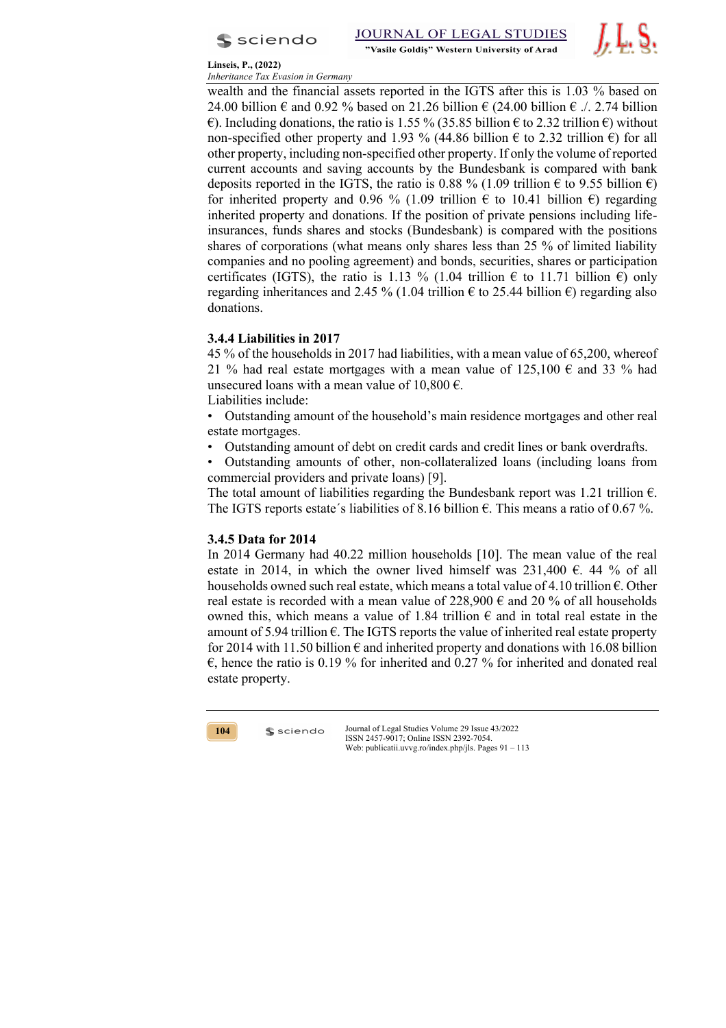



wealth and the financial assets reported in the IGTS after this is 1.03 % based on 24.00 billion  $\epsilon$  and 0.92 % based on 21.26 billion  $\epsilon$  (24.00 billion  $\epsilon$  ./. 2.74 billion  $\epsilon$ ). Including donations, the ratio is 1.55 % (35.85 billion  $\epsilon$  to 2.32 trillion  $\epsilon$ ) without non-specified other property and 1.93 % (44.86 billion  $\epsilon$  to 2.32 trillion  $\epsilon$ ) for all other property, including non-specified other property. If only the volume of reported current accounts and saving accounts by the Bundesbank is compared with bank deposits reported in the IGTS, the ratio is 0.88 % (1.09 trillion  $\epsilon$  to 9.55 billion  $\epsilon$ ) for inherited property and 0.96 % (1.09 trillion  $\epsilon$  to 10.41 billion  $\epsilon$ ) regarding inherited property and donations. If the position of private pensions including lifeinsurances, funds shares and stocks (Bundesbank) is compared with the positions shares of corporations (what means only shares less than 25 % of limited liability companies and no pooling agreement) and bonds, securities, shares or participation certificates (IGTS), the ratio is 1.13 % (1.04 trillion  $\epsilon$  to 11.71 billion  $\epsilon$ ) only regarding inheritances and 2.45 % (1.04 trillion  $\epsilon$  to 25.44 billion  $\epsilon$ ) regarding also donations.

# **3.4.4 Liabilities in 2017**

45 % of the households in 2017 had liabilities, with a mean value of 65,200, whereof 21 % had real estate mortgages with a mean value of 125,100  $\epsilon$  and 33 % had unsecured loans with a mean value of  $10,800 \in$ . Liabilities include:

• Outstanding amount of the household's main residence mortgages and other real estate mortgages.

• Outstanding amount of debt on credit cards and credit lines or bank overdrafts.

• Outstanding amounts of other, non-collateralized loans (including loans from commercial providers and private loans) [9].

The total amount of liabilities regarding the Bundesbank report was 1.21 trillion  $\epsilon$ . The IGTS reports estate's liabilities of 8.16 billion  $\epsilon$ . This means a ratio of 0.67 %.

# **3.4.5 Data for 2014**

In 2014 Germany had 40.22 million households [10]. The mean value of the real estate in 2014, in which the owner lived himself was 231,400  $\epsilon$ . 44 % of all households owned such real estate, which means a total value of 4.10 trillion  $\epsilon$ . Other real estate is recorded with a mean value of 228,900  $\epsilon$  and 20 % of all households owned this, which means a value of 1.84 trillion  $\epsilon$  and in total real estate in the amount of 5.94 trillion  $\epsilon$ . The IGTS reports the value of inherited real estate property for 2014 with 11.50 billion  $\epsilon$  and inherited property and donations with 16.08 billion  $\epsilon$ , hence the ratio is 0.19 % for inherited and 0.27 % for inherited and donated real estate property.



 $s$  sciendo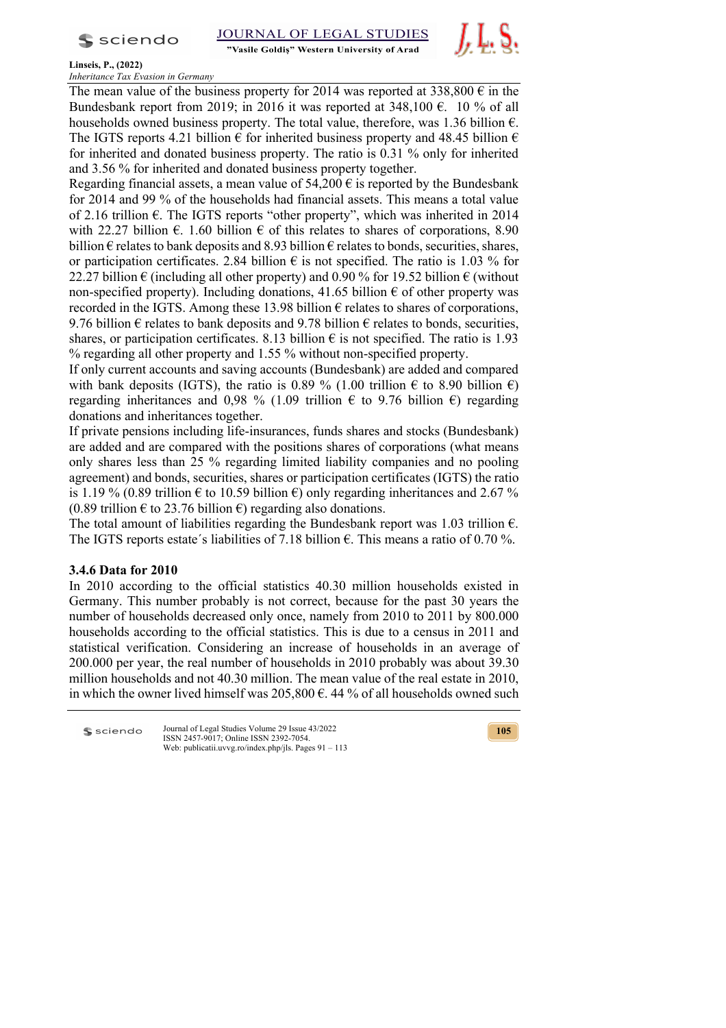$s$  sciendo

"Vasile Goldis" Western University of Arad



**Linseis, P., (2022)**

*Inheritance Tax Evasion in Germany*

The mean value of the business property for 2014 was reported at 338,800  $\epsilon$  in the Bundesbank report from 2019; in 2016 it was reported at  $348,100 \text{ } \infty$ . 10 % of all households owned business property. The total value, therefore, was 1.36 billion  $\epsilon$ . The IGTS reports 4.21 billion  $\epsilon$  for inherited business property and 48.45 billion  $\epsilon$ for inherited and donated business property. The ratio is 0.31 % only for inherited and 3.56 % for inherited and donated business property together.

Regarding financial assets, a mean value of  $54,200 \in \mathbb{R}$  is reported by the Bundesbank for 2014 and 99 % of the households had financial assets. This means a total value of 2.16 trillion  $\epsilon$ . The IGTS reports "other property", which was inherited in 2014 with 22.27 billion  $\epsilon$ . 1.60 billion  $\epsilon$  of this relates to shares of corporations, 8.90 billion  $\epsilon$  relates to bank deposits and 8.93 billion  $\epsilon$  relates to bonds, securities, shares, or participation certificates. 2.84 billion  $\epsilon$  is not specified. The ratio is 1.03 % for 22.27 billion  $\epsilon$  (including all other property) and 0.90 % for 19.52 billion  $\epsilon$  (without non-specified property). Including donations, 41.65 billion  $\epsilon$  of other property was recorded in the IGTS. Among these 13.98 billion  $\epsilon$  relates to shares of corporations, 9.76 billion  $\epsilon$  relates to bank deposits and 9.78 billion  $\epsilon$  relates to bonds, securities, shares, or participation certificates. 8.13 billion  $\epsilon$  is not specified. The ratio is 1.93 % regarding all other property and 1.55 % without non-specified property.

If only current accounts and saving accounts (Bundesbank) are added and compared with bank deposits (IGTS), the ratio is 0.89 % (1.00 trillion  $\epsilon$  to 8.90 billion  $\epsilon$ ) regarding inheritances and 0,98 % (1.09 trillion  $\epsilon$  to 9.76 billion  $\epsilon$ ) regarding donations and inheritances together.

If private pensions including life-insurances, funds shares and stocks (Bundesbank) are added and are compared with the positions shares of corporations (what means only shares less than 25 % regarding limited liability companies and no pooling agreement) and bonds, securities, shares or participation certificates (IGTS) the ratio is 1.19 % (0.89 trillion  $\epsilon$  to 10.59 billion  $\epsilon$ ) only regarding inheritances and 2.67 %  $(0.89 \text{ trillion } \in \text{to } 23.76 \text{ billion } \in)$  regarding also donations.

The total amount of liabilities regarding the Bundesbank report was 1.03 trillion  $\epsilon$ . The IGTS reports estate's liabilities of 7.18 billion  $\epsilon$ . This means a ratio of 0.70 %.

# **3.4.6 Data for 2010**

In 2010 according to the official statistics 40.30 million households existed in Germany. This number probably is not correct, because for the past 30 years the number of households decreased only once, namely from 2010 to 2011 by 800.000 households according to the official statistics. This is due to a census in 2011 and statistical verification. Considering an increase of households in an average of 200.000 per year, the real number of households in 2010 probably was about 39.30 million households and not 40.30 million. The mean value of the real estate in 2010, in which the owner lived himself was 205,800  $\epsilon$ . 44 % of all households owned such

Journal of Legal Studies Volume 29 Issue 43/2022 **S** sciendo ISSN 2457-9017; Online ISSN 2392-7054. Web: publicatii.uvvg.ro/index.php/jls. Pages 91 – 113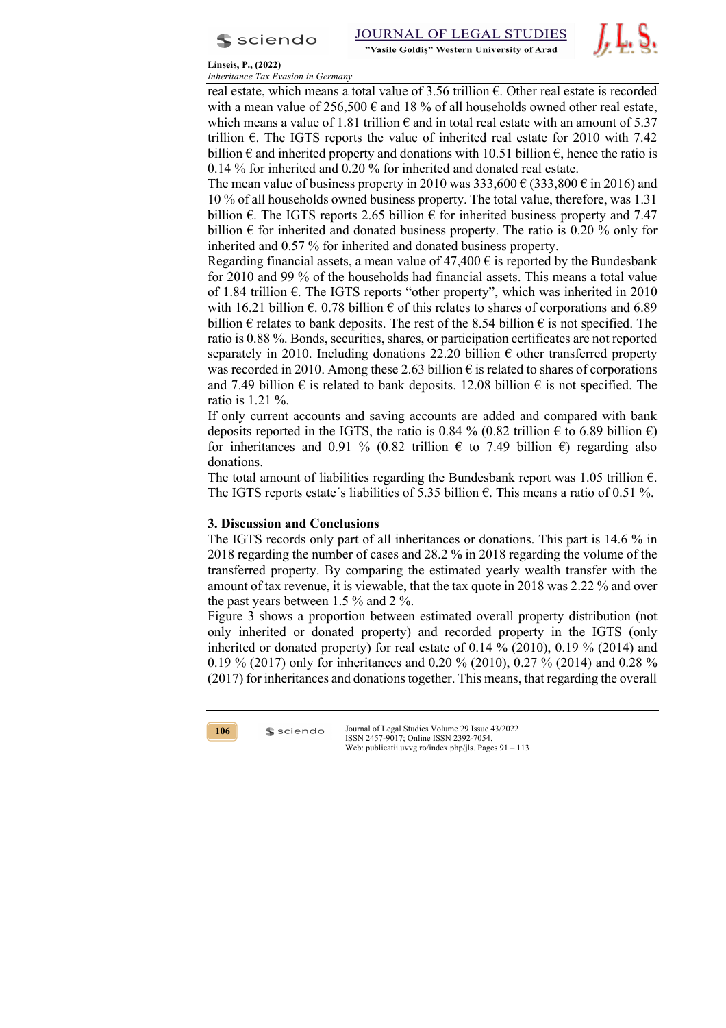



## **Linseis, P., (2022)**

*Inheritance Tax Evasion in Germany*

real estate, which means a total value of 3.56 trillion  $\epsilon$ . Other real estate is recorded with a mean value of  $256,500 \in \text{and } 18 \%$  of all households owned other real estate, which means a value of 1.81 trillion  $\epsilon$  and in total real estate with an amount of 5.37 trillion  $\epsilon$ . The IGTS reports the value of inherited real estate for 2010 with 7.42 billion  $\epsilon$  and inherited property and donations with 10.51 billion  $\epsilon$ , hence the ratio is 0.14 % for inherited and 0.20 % for inherited and donated real estate.

The mean value of business property in 2010 was  $333,600 \in (333,800 \in \text{in } 2016)$  and 10 % of all households owned business property. The total value, therefore, was 1.31 billion  $\epsilon$ . The IGTS reports 2.65 billion  $\epsilon$  for inherited business property and 7.47 billion  $\epsilon$  for inherited and donated business property. The ratio is 0.20 % only for inherited and 0.57 % for inherited and donated business property.

Regarding financial assets, a mean value of  $47,400 \text{ } \epsilon$  is reported by the Bundesbank for 2010 and 99 % of the households had financial assets. This means a total value of 1.84 trillion  $\epsilon$ . The IGTS reports "other property", which was inherited in 2010 with 16.21 billion  $\epsilon$ . 0.78 billion  $\epsilon$  of this relates to shares of corporations and 6.89 billion  $\epsilon$  relates to bank deposits. The rest of the 8.54 billion  $\epsilon$  is not specified. The ratio is 0.88 %. Bonds, securities, shares, or participation certificates are not reported separately in 2010. Including donations 22.20 billion  $\epsilon$  other transferred property was recorded in 2010. Among these 2.63 billion  $\epsilon$  is related to shares of corporations and 7.49 billion  $\epsilon$  is related to bank deposits. 12.08 billion  $\epsilon$  is not specified. The ratio is 1.21 %.

If only current accounts and saving accounts are added and compared with bank deposits reported in the IGTS, the ratio is 0.84 % (0.82 trillion  $\epsilon$  to 6.89 billion  $\epsilon$ ) for inheritances and 0.91 % (0.82 trillion  $\epsilon$  to 7.49 billion  $\epsilon$ ) regarding also donations.

The total amount of liabilities regarding the Bundesbank report was 1.05 trillion  $\epsilon$ . The IGTS reports estate's liabilities of 5.35 billion  $\epsilon$ . This means a ratio of 0.51 %.

# **3. Discussion and Conclusions**

 $s$  sciendo

The IGTS records only part of all inheritances or donations. This part is 14.6 % in 2018 regarding the number of cases and 28.2 % in 2018 regarding the volume of the transferred property. By comparing the estimated yearly wealth transfer with the amount of tax revenue, it is viewable, that the tax quote in 2018 was 2.22 % and over the past years between 1.5 % and 2 %.

Figure 3 shows a proportion between estimated overall property distribution (not only inherited or donated property) and recorded property in the IGTS (only inherited or donated property) for real estate of 0.14 % (2010), 0.19 % (2014) and 0.19 % (2017) only for inheritances and 0.20 % (2010), 0.27 % (2014) and 0.28 % (2017) for inheritances and donations together. This means, that regarding the overall

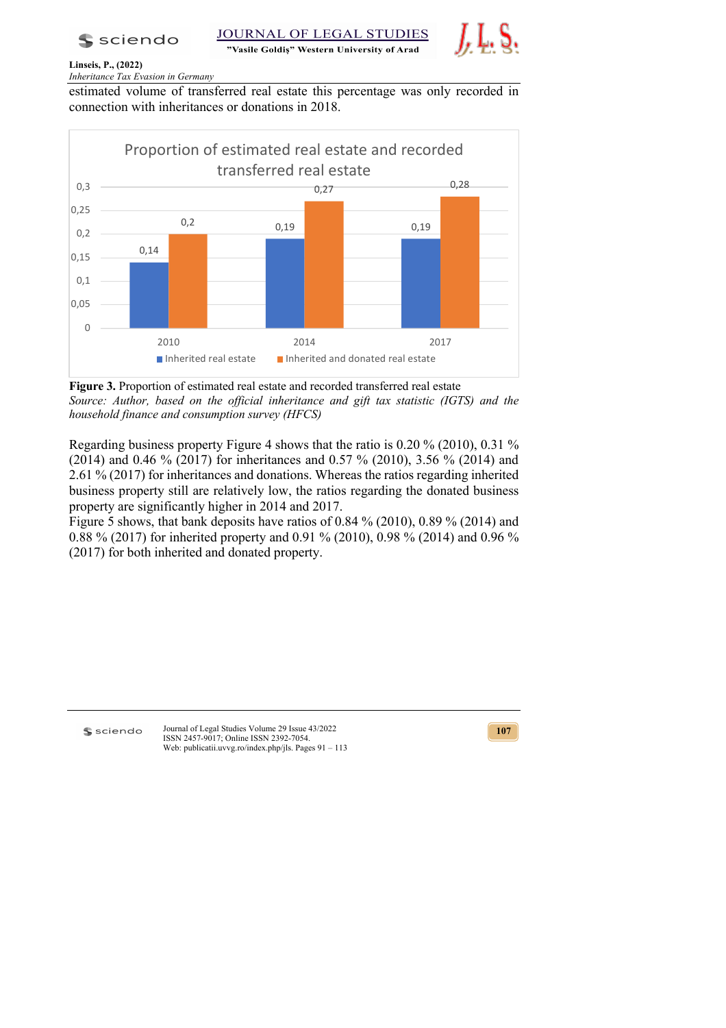

JOURNAL OF LEGAL STUDIES "Vasile Goldis" Western University of Arad



# **Linseis, P., (2022)**

*Inheritance Tax Evasion in Germany*

estimated volume of transferred real estate this percentage was only recorded in connection with inheritances or donations in 2018.



**Figure 3.** Proportion of estimated real estate and recorded transferred real estate *Source: Author, based on the official inheritance and gift tax statistic (IGTS) and the household finance and consumption survey (HFCS)*

Regarding business property Figure 4 shows that the ratio is 0.20 % (2010), 0.31 % (2014) and 0.46 % (2017) for inheritances and 0.57 % (2010), 3.56 % (2014) and 2.61 % (2017) for inheritances and donations. Whereas the ratios regarding inherited business property still are relatively low, the ratios regarding the donated business property are significantly higher in 2014 and 2017.

Figure 5 shows, that bank deposits have ratios of 0.84 % (2010), 0.89 % (2014) and 0.88 % (2017) for inherited property and 0.91 % (2010), 0.98 % (2014) and 0.96 % (2017) for both inherited and donated property.

s sciendo

Journal of Legal Studies Volume 29 Issue 43/2022 ISSN 2457-9017; Online ISSN 2392-7054. Web: publicatii.uvvg.ro/index.php/jls. Pages 91 – 113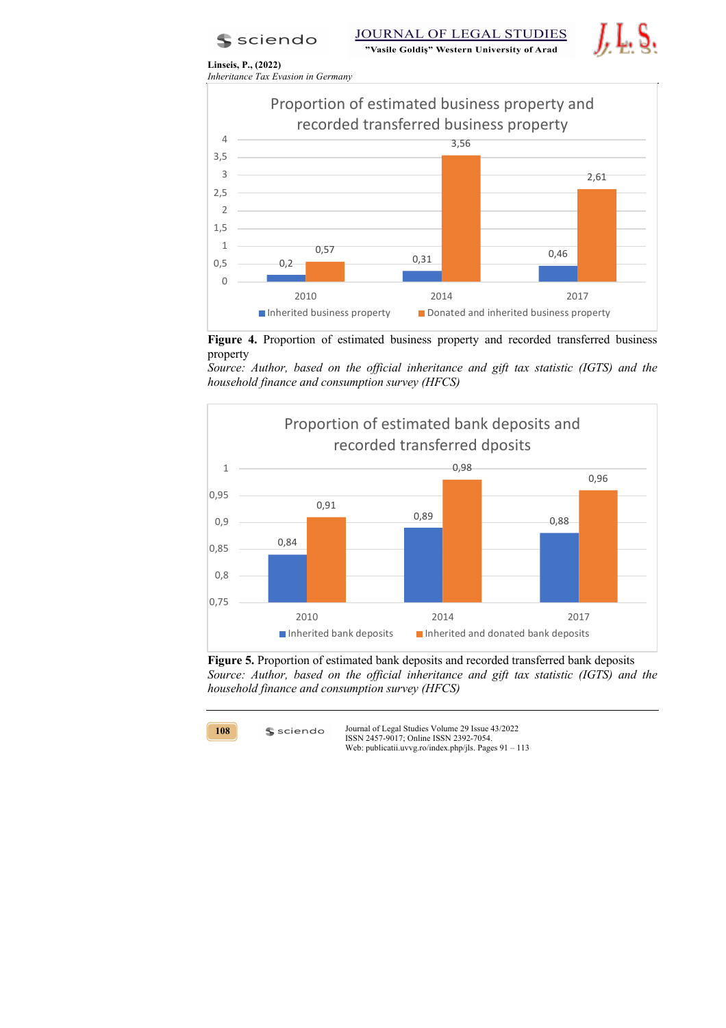**S** sciendo



**Linseis, P., (2022)** *Inheritance Tax Evasion in Germany*



**Figure 4.** Proportion of estimated business property and recorded transferred business property

*Source: Author, based on the official inheritance and gift tax statistic (IGTS) and the household finance and consumption survey (HFCS)*



**Figure 5.** Proportion of estimated bank deposits and recorded transferred bank deposits *Source: Author, based on the official inheritance and gift tax statistic (IGTS) and the household finance and consumption survey (HFCS)*



 $s$  sciendo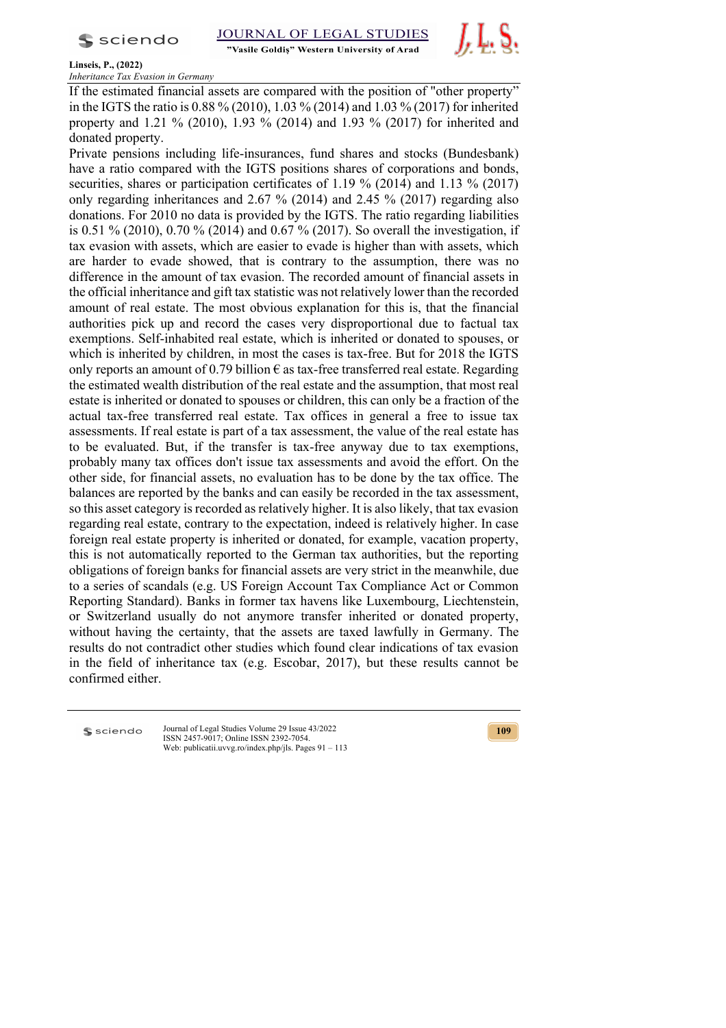$s$  sciendo

"Vasile Goldis" Western University of Arad



**Linseis, P., (2022)**

*Inheritance Tax Evasion in Germany*

If the estimated financial assets are compared with the position of "other property" in the IGTS the ratio is 0.88 % (2010), 1.03 % (2014) and 1.03 % (2017) for inherited property and 1.21 % (2010), 1.93 % (2014) and 1.93 % (2017) for inherited and donated property.

Private pensions including life-insurances, fund shares and stocks (Bundesbank) have a ratio compared with the IGTS positions shares of corporations and bonds, securities, shares or participation certificates of 1.19 % (2014) and 1.13 % (2017) only regarding inheritances and 2.67 % (2014) and 2.45 % (2017) regarding also donations. For 2010 no data is provided by the IGTS. The ratio regarding liabilities is 0.51 % (2010), 0.70 % (2014) and 0.67 % (2017). So overall the investigation, if tax evasion with assets, which are easier to evade is higher than with assets, which are harder to evade showed, that is contrary to the assumption, there was no difference in the amount of tax evasion. The recorded amount of financial assets in the official inheritance and gift tax statistic was not relatively lower than the recorded amount of real estate. The most obvious explanation for this is, that the financial authorities pick up and record the cases very disproportional due to factual tax exemptions. Self-inhabited real estate, which is inherited or donated to spouses, or which is inherited by children, in most the cases is tax-free. But for 2018 the IGTS only reports an amount of 0.79 billion  $\epsilon$  as tax-free transferred real estate. Regarding the estimated wealth distribution of the real estate and the assumption, that most real estate is inherited or donated to spouses or children, this can only be a fraction of the actual tax-free transferred real estate. Tax offices in general a free to issue tax assessments. If real estate is part of a tax assessment, the value of the real estate has to be evaluated. But, if the transfer is tax-free anyway due to tax exemptions, probably many tax offices don't issue tax assessments and avoid the effort. On the other side, for financial assets, no evaluation has to be done by the tax office. The balances are reported by the banks and can easily be recorded in the tax assessment, so this asset category is recorded as relatively higher. It is also likely, that tax evasion regarding real estate, contrary to the expectation, indeed is relatively higher. In case foreign real estate property is inherited or donated, for example, vacation property, this is not automatically reported to the German tax authorities, but the reporting obligations of foreign banks for financial assets are very strict in the meanwhile, due to a series of scandals (e.g. US Foreign Account Tax Compliance Act or Common Reporting Standard). Banks in former tax havens like Luxembourg, Liechtenstein, or Switzerland usually do not anymore transfer inherited or donated property, without having the certainty, that the assets are taxed lawfully in Germany. The results do not contradict other studies which found clear indications of tax evasion in the field of inheritance tax (e.g. Escobar, 2017), but these results cannot be confirmed either.

**S** sciendo

Journal of Legal Studies Volume 29 Issue 43/2022 ISSN 2457-9017; Online ISSN 2392-7054. Web: publicatii.uvvg.ro/index.php/ils. Pages 91 – 113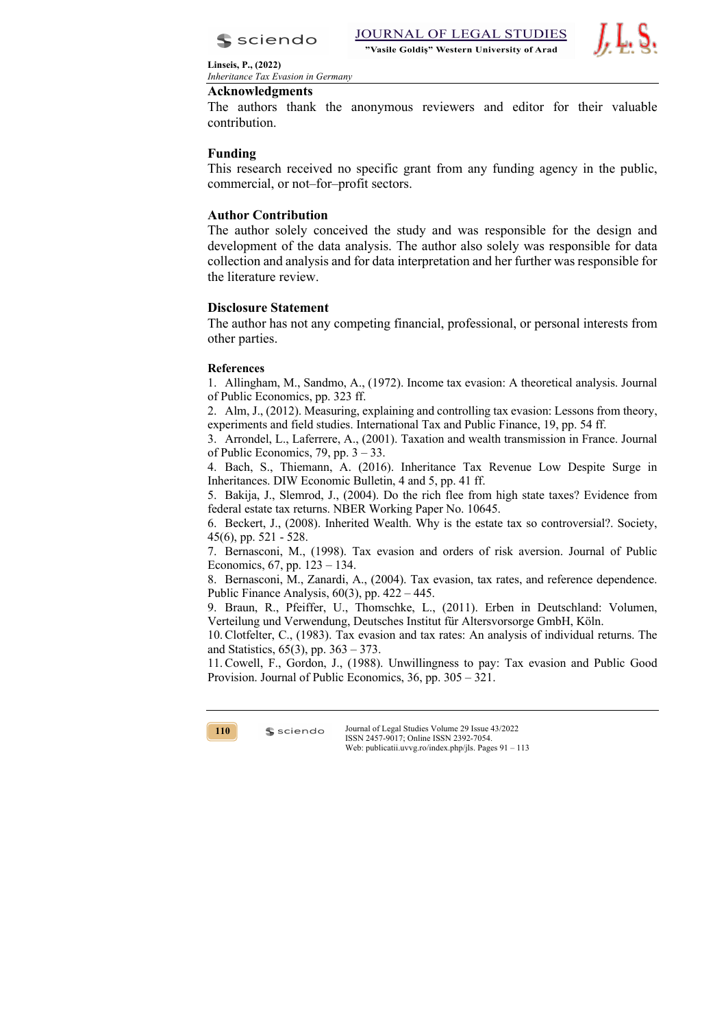



## **Acknowledgments**

The authors thank the anonymous reviewers and editor for their valuable contribution.

# **Funding**

This research received no specific grant from any funding agency in the public, commercial, or not–for–profit sectors.

# **Author Contribution**

The author solely conceived the study and was responsible for the design and development of the data analysis. The author also solely was responsible for data collection and analysis and for data interpretation and her further was responsible for the literature review.

# **Disclosure Statement**

The author has not any competing financial, professional, or personal interests from other parties.

# **References**

1. Allingham, M., Sandmo, A., (1972). Income tax evasion: A theoretical analysis. Journal of Public Economics, pp. 323 ff.

2. Alm, J., (2012). Measuring, explaining and controlling tax evasion: Lessons from theory, experiments and field studies. International Tax and Public Finance, 19, pp. 54 ff.

3. Arrondel, L., Laferrere, A., (2001). Taxation and wealth transmission in France. Journal of Public Economics, 79, pp. 3 – 33.

4. Bach, S., Thiemann, A. (2016). Inheritance Tax Revenue Low Despite Surge in Inheritances. DIW Economic Bulletin, 4 and 5, pp. 41 ff.

5. Bakija, J., Slemrod, J., (2004). Do the rich flee from high state taxes? Evidence from federal estate tax returns. NBER Working Paper No. 10645.

6. Beckert, J., (2008). Inherited Wealth. Why is the estate tax so controversial?. Society, 45(6), pp. 521 - 528.

7. Bernasconi, M., (1998). Tax evasion and orders of risk aversion. Journal of Public Economics, 67, pp. 123 – 134.

8. Bernasconi, M., Zanardi, A., (2004). Tax evasion, tax rates, and reference dependence. Public Finance Analysis, 60(3), pp. 422 – 445.

9. Braun, R., Pfeiffer, U., Thomschke, L., (2011). Erben in Deutschland: Volumen, Verteilung und Verwendung, Deutsches Institut für Altersvorsorge GmbH, Köln.

10.Clotfelter, C., (1983). Tax evasion and tax rates: An analysis of individual returns. The and Statistics, 65(3), pp. 363 – 373.

11.Cowell, F., Gordon, J., (1988). Unwillingness to pay: Tax evasion and Public Good Provision. Journal of Public Economics, 36, pp. 305 – 321.



 $s$  sciendo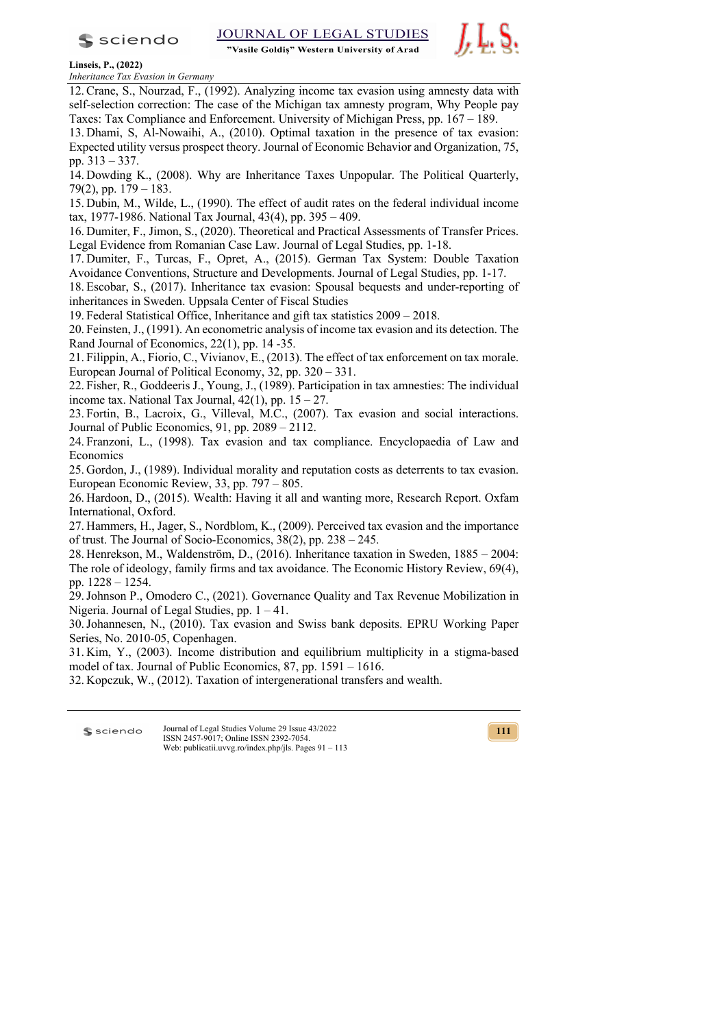$s$  sciendo

"Vasile Goldis" Western University of Arad



**Linseis, P., (2022)**

*Inheritance Tax Evasion in Germany*

12.Crane, S., Nourzad, F., (1992). Analyzing income tax evasion using amnesty data with self-selection correction: The case of the Michigan tax amnesty program, Why People pay Taxes: Tax Compliance and Enforcement. University of Michigan Press, pp. 167 – 189.

13. Dhami, S, Al-Nowaihi, A., (2010). Optimal taxation in the presence of tax evasion: Expected utility versus prospect theory. Journal of Economic Behavior and Organization, 75, pp. 313 – 337.

14. Dowding K., (2008). Why are Inheritance Taxes Unpopular. The Political Quarterly, 79(2), pp. 179 – 183.

15. Dubin, M., Wilde, L., (1990). The effect of audit rates on the federal individual income tax, 1977-1986. National Tax Journal, 43(4), pp. 395 – 409.

16. Dumiter, F., Jimon, S., (2020). Theoretical and Practical Assessments of Transfer Prices. Legal Evidence from Romanian Case Law. Journal of Legal Studies, pp. 1-18.

17. Dumiter, F., Turcas, F., Opret, A., (2015). German Tax System: Double Taxation Avoidance Conventions, Structure and Developments. Journal of Legal Studies, pp. 1-17.

18. Escobar, S., (2017). Inheritance tax evasion: Spousal bequests and under-reporting of inheritances in Sweden. Uppsala Center of Fiscal Studies

19. Federal Statistical Office, Inheritance and gift tax statistics 2009 – 2018.

20. Feinsten, J., (1991). An econometric analysis of income tax evasion and its detection. The Rand Journal of Economics, 22(1), pp. 14 -35.

21. Filippin, A., Fiorio, C., Vivianov, E., (2013). The effect of tax enforcement on tax morale. European Journal of Political Economy, 32, pp. 320 – 331.

22. Fisher, R., Goddeeris J., Young, J., (1989). Participation in tax amnesties: The individual income tax. National Tax Journal,  $42(1)$ , pp.  $15 - 27$ .

23. Fortin, B., Lacroix, G., Villeval, M.C., (2007). Tax evasion and social interactions. Journal of Public Economics, 91, pp. 2089 – 2112.

24. Franzoni, L., (1998). Tax evasion and tax compliance. Encyclopaedia of Law and Economics

25. Gordon, J., (1989). Individual morality and reputation costs as deterrents to tax evasion. European Economic Review, 33, pp. 797 – 805.

26. Hardoon, D., (2015). Wealth: Having it all and wanting more, Research Report. Oxfam International, Oxford.

27. Hammers, H., Jager, S., Nordblom, K., (2009). Perceived tax evasion and the importance of trust. The Journal of Socio-Economics, 38(2), pp. 238 – 245.

28. Henrekson, M., Waldenström, D., (2016). Inheritance taxation in Sweden, 1885 – 2004: The role of ideology, family firms and tax avoidance. The Economic History Review, 69(4), pp. 1228 – 1254.

29.Johnson P., Omodero C., (2021). Governance Quality and Tax Revenue Mobilization in Nigeria. Journal of Legal Studies, pp. 1 – 41.

30.Johannesen, N., (2010). Tax evasion and Swiss bank deposits. EPRU Working Paper Series, No. 2010-05, Copenhagen.

31. Kim, Y., (2003). Income distribution and equilibrium multiplicity in a stigma-based model of tax. Journal of Public Economics, 87, pp. 1591 – 1616.

32. Kopczuk, W., (2012). Taxation of intergenerational transfers and wealth.

Journal of Legal Studies Volume 29 Issue 43/2022 **S** sciendo ISSN 2457-9017; Online ISSN 2392-7054. Web: publicatii.uvvg.ro/index.php/jls. Pages 91 – 113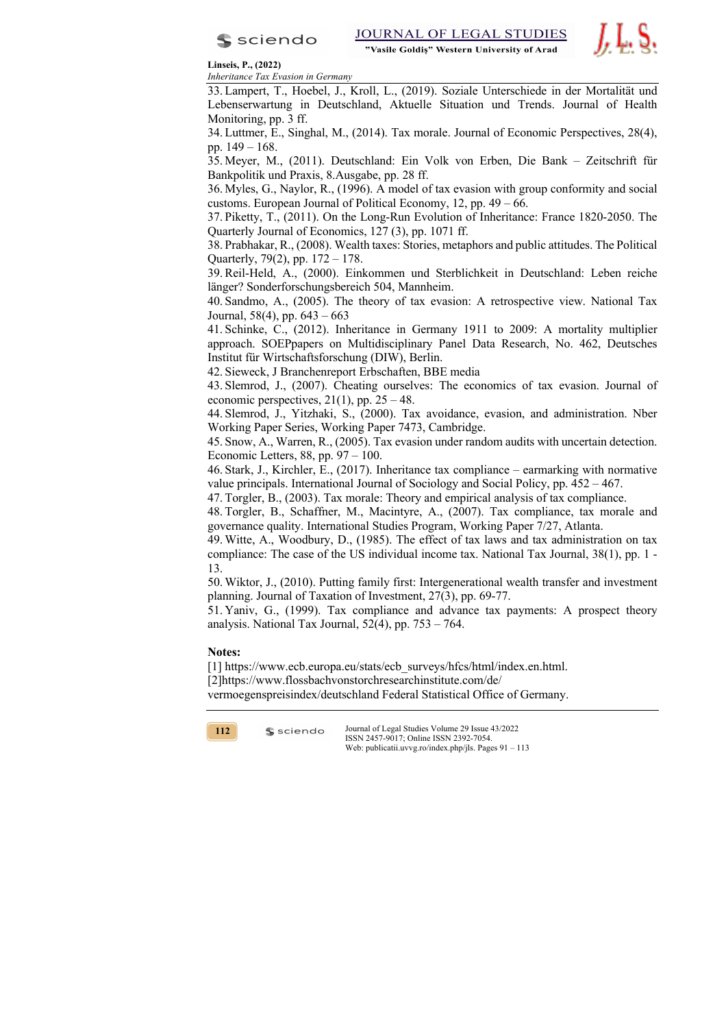



**Linseis, P., (2022)**

*Inheritance Tax Evasion in Germany*

33. Lampert, T., Hoebel, J., Kroll, L., (2019). Soziale Unterschiede in der Mortalität und Lebenserwartung in Deutschland, Aktuelle Situation und Trends. Journal of Health Monitoring, pp. 3 ff.

34. Luttmer, E., Singhal, M., (2014). Tax morale. Journal of Economic Perspectives, 28(4), pp. 149 – 168.

35. Meyer, M., (2011). Deutschland: Ein Volk von Erben, Die Bank – Zeitschrift für Bankpolitik und Praxis, 8.Ausgabe, pp. 28 ff.

36. Myles, G., Naylor, R., (1996). A model of tax evasion with group conformity and social customs. European Journal of Political Economy, 12, pp. 49 – 66.

37. Piketty, T., (2011). On the Long-Run Evolution of Inheritance: France 1820-2050. The Quarterly Journal of Economics, 127 (3), pp. 1071 ff.

38. Prabhakar, R., (2008). Wealth taxes: Stories, metaphors and public attitudes. The Political Quarterly, 79(2), pp. 172 – 178.

39.Reil-Held, A., (2000). Einkommen und Sterblichkeit in Deutschland: Leben reiche länger? Sonderforschungsbereich 504, Mannheim.

40. Sandmo, A., (2005). The theory of tax evasion: A retrospective view. National Tax Journal,  $58(4)$ , pp.  $643 - 663$ 

41. Schinke, C., (2012). Inheritance in Germany 1911 to 2009: A mortality multiplier approach. SOEPpapers on Multidisciplinary Panel Data Research, No. 462, Deutsches Institut für Wirtschaftsforschung (DIW), Berlin.

42. Sieweck, J Branchenreport Erbschaften, BBE media

43. Slemrod, J., (2007). Cheating ourselves: The economics of tax evasion. Journal of economic perspectives,  $21(1)$ , pp.  $25 - 48$ .

44. Slemrod, J., Yitzhaki, S., (2000). Tax avoidance, evasion, and administration. Nber Working Paper Series, Working Paper 7473, Cambridge.

45. Snow, A., Warren, R., (2005). Tax evasion under random audits with uncertain detection. Economic Letters,  $88$ , pp.  $97 - 100$ .

46. Stark, J., Kirchler, E., (2017). Inheritance tax compliance – earmarking with normative value principals. International Journal of Sociology and Social Policy, pp. 452 – 467.

47. Torgler, B., (2003). Tax morale: Theory and empirical analysis of tax compliance.

48. Torgler, B., Schaffner, M., Macintyre, A., (2007). Tax compliance, tax morale and governance quality. International Studies Program, Working Paper 7/27, Atlanta.

49. Witte, A., Woodbury, D., (1985). The effect of tax laws and tax administration on tax compliance: The case of the US individual income tax. National Tax Journal, 38(1), pp. 1 - 13.

50. Wiktor, J., (2010). Putting family first: Intergenerational wealth transfer and investment planning. Journal of Taxation of Investment, 27(3), pp. 69-77.

51. Yaniv, G., (1999). Tax compliance and advance tax payments: A prospect theory analysis. National Tax Journal,  $52(4)$ , pp.  $753 - 764$ .

### **Notes:**

[1] https://www.ecb.europa.eu/stats/ecb\_surveys/hfcs/html/index.en.html. [2]https://www.flossbachvonstorchresearchinstitute.com/de/ vermoegenspreisindex/deutschland Federal Statistical Office of Germany.



 $s$  sciendo